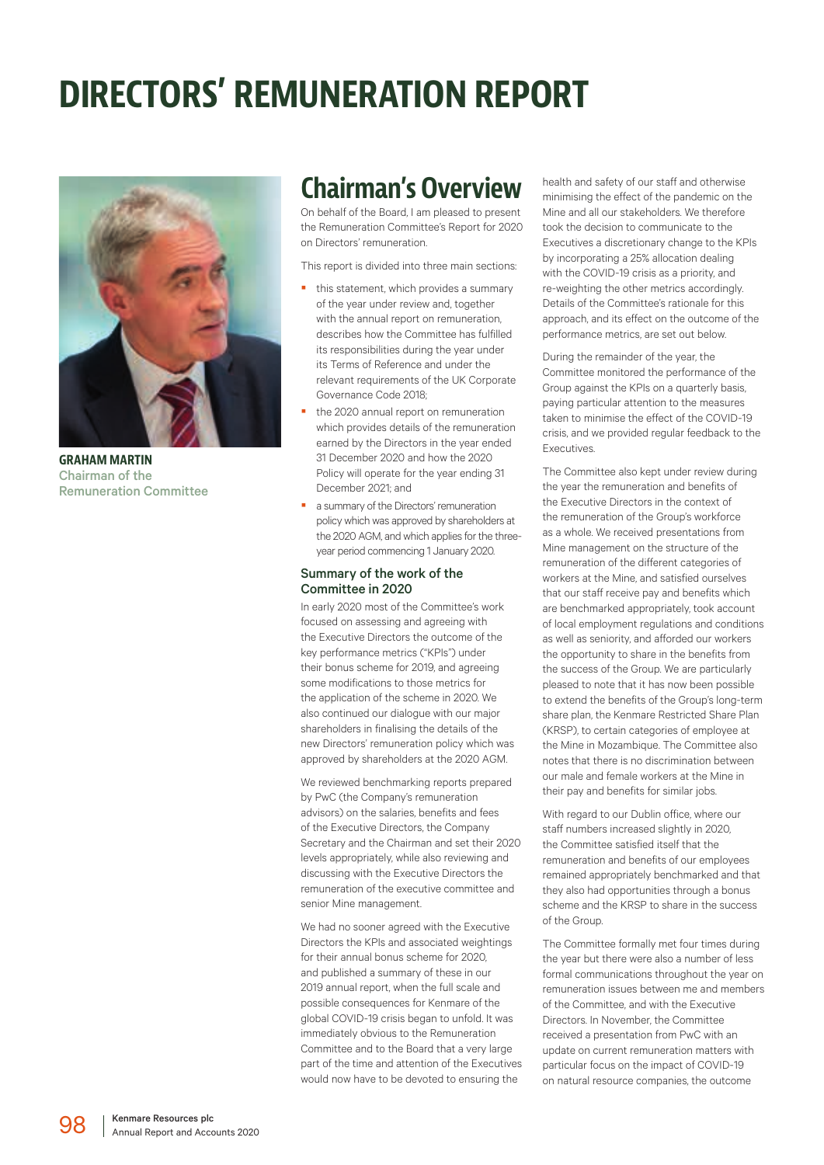### **DIRECTORS' REMUNERATION REPORT**



**GRAHAM MARTIN** Chairman of the Remuneration Committee

### **Chairman's Overview**

On behalf of the Board, I am pleased to present the Remuneration Committee's Report for 2020 on Directors' remuneration.

This report is divided into three main sections:

- this statement, which provides a summary of the year under review and, together with the annual report on remuneration, describes how the Committee has fulfilled its responsibilities during the year under its Terms of Reference and under the relevant requirements of the UK Corporate Governance Code 2018;
- the 2020 annual report on remuneration which provides details of the remuneration earned by the Directors in the year ended 31 December 2020 and how the 2020 Policy will operate for the year ending 31 December 2021; and
- a summary of the Directors' remuneration policy which was approved by shareholders at the 2020 AGM, and which applies for the threeyear period commencing 1 January 2020.

#### Summary of the work of the Committee in 2020

In early 2020 most of the Committee's work focused on assessing and agreeing with the Executive Directors the outcome of the key performance metrics ("KPIs") under their bonus scheme for 2019, and agreeing some modifications to those metrics for the application of the scheme in 2020. We also continued our dialogue with our major shareholders in finalising the details of the new Directors' remuneration policy which was approved by shareholders at the 2020 AGM.

We reviewed benchmarking reports prepared by PwC (the Company's remuneration advisors) on the salaries, benefits and fees of the Executive Directors, the Company Secretary and the Chairman and set their 2020 levels appropriately, while also reviewing and discussing with the Executive Directors the remuneration of the executive committee and senior Mine management.

We had no sooner agreed with the Executive Directors the KPIs and associated weightings for their annual bonus scheme for 2020, and published a summary of these in our 2019 annual report, when the full scale and possible consequences for Kenmare of the global COVID-19 crisis began to unfold. It was immediately obvious to the Remuneration Committee and to the Board that a very large part of the time and attention of the Executives would now have to be devoted to ensuring the

health and safety of our staff and otherwise minimising the effect of the pandemic on the Mine and all our stakeholders. We therefore took the decision to communicate to the Executives a discretionary change to the KPIs by incorporating a 25% allocation dealing with the COVID-19 crisis as a priority, and re-weighting the other metrics accordingly. Details of the Committee's rationale for this approach, and its effect on the outcome of the performance metrics, are set out below.

During the remainder of the year, the Committee monitored the performance of the Group against the KPIs on a quarterly basis, paying particular attention to the measures taken to minimise the effect of the COVID-19 crisis, and we provided regular feedback to the Executives.

The Committee also kept under review during the year the remuneration and benefits of the Executive Directors in the context of the remuneration of the Group's workforce as a whole. We received presentations from Mine management on the structure of the remuneration of the different categories of workers at the Mine, and satisfied ourselves that our staff receive pay and benefits which are benchmarked appropriately, took account of local employment regulations and conditions as well as seniority, and afforded our workers the opportunity to share in the benefits from the success of the Group. We are particularly pleased to note that it has now been possible to extend the benefits of the Group's long-term share plan, the Kenmare Restricted Share Plan (KRSP), to certain categories of employee at the Mine in Mozambique. The Committee also notes that there is no discrimination between our male and female workers at the Mine in their pay and benefits for similar jobs.

With regard to our Dublin office, where our staff numbers increased slightly in 2020, the Committee satisfied itself that the remuneration and benefits of our employees remained appropriately benchmarked and that they also had opportunities through a bonus scheme and the KRSP to share in the success of the Group.

The Committee formally met four times during the year but there were also a number of less formal communications throughout the year on remuneration issues between me and members of the Committee, and with the Executive Directors. In November, the Committee received a presentation from PwC with an update on current remuneration matters with particular focus on the impact of COVID-19 on natural resource companies, the outcome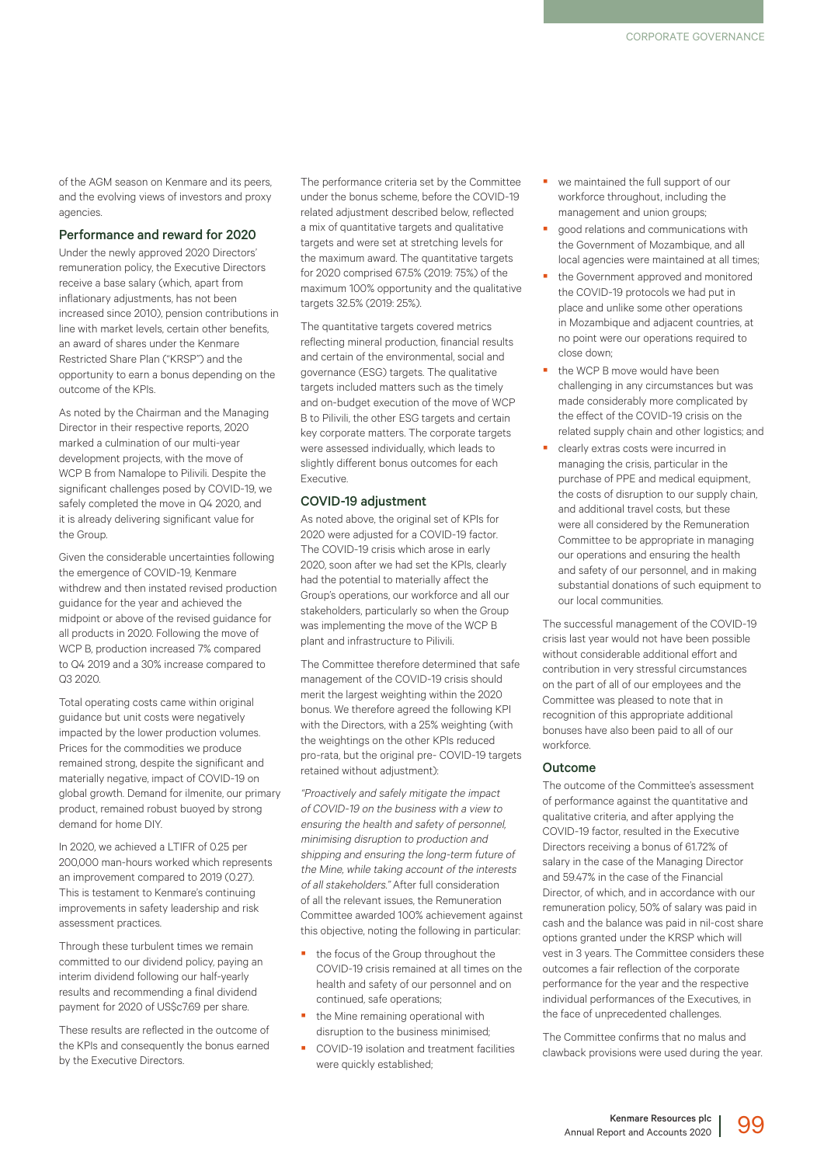of the AGM season on Kenmare and its peers, and the evolving views of investors and proxy agencies.

#### Performance and reward for 2020

Under the newly approved 2020 Directors' remuneration policy, the Executive Directors receive a base salary (which, apart from inflationary adjustments, has not been increased since 2010), pension contributions in line with market levels, certain other benefits, an award of shares under the Kenmare Restricted Share Plan ("KRSP") and the opportunity to earn a bonus depending on the outcome of the KPIs.

As noted by the Chairman and the Managing Director in their respective reports, 2020 marked a culmination of our multi-year development projects, with the move of WCP B from Namalope to Pilivili. Despite the significant challenges posed by COVID-19, we safely completed the move in Q4 2020, and it is already delivering significant value for the Group.

Given the considerable uncertainties following the emergence of COVID-19, Kenmare withdrew and then instated revised production guidance for the year and achieved the midpoint or above of the revised guidance for all products in 2020. Following the move of WCP B, production increased 7% compared to Q4 2019 and a 30% increase compared to Q3 2020.

Total operating costs came within original guidance but unit costs were negatively impacted by the lower production volumes. Prices for the commodities we produce remained strong, despite the significant and materially negative, impact of COVID-19 on global growth. Demand for ilmenite, our primary product, remained robust buoyed by strong demand for home DIY.

In 2020, we achieved a LTIFR of 0.25 per 200,000 man-hours worked which represents an improvement compared to 2019 (0.27). This is testament to Kenmare's continuing improvements in safety leadership and risk assessment practices.

Through these turbulent times we remain committed to our dividend policy, paying an interim dividend following our half-yearly results and recommending a final dividend payment for 2020 of US\$c7.69 per share.

These results are reflected in the outcome of the KPIs and consequently the bonus earned by the Executive Directors.

The performance criteria set by the Committee under the bonus scheme, before the COVID-19 related adjustment described below, reflected a mix of quantitative targets and qualitative targets and were set at stretching levels for the maximum award. The quantitative targets for 2020 comprised 67.5% (2019: 75%) of the maximum 100% opportunity and the qualitative targets 32.5% (2019: 25%).

The quantitative targets covered metrics reflecting mineral production, financial results and certain of the environmental, social and governance (ESG) targets. The qualitative targets included matters such as the timely and on-budget execution of the move of WCP B to Pilivili, the other ESG targets and certain key corporate matters. The corporate targets were assessed individually, which leads to slightly different bonus outcomes for each Executive.

#### COVID-19 adjustment

As noted above, the original set of KPIs for 2020 were adjusted for a COVID-19 factor. The COVID-19 crisis which arose in early 2020, soon after we had set the KPIs, clearly had the potential to materially affect the Group's operations, our workforce and all our stakeholders, particularly so when the Group was implementing the move of the WCP B plant and infrastructure to Pilivili.

The Committee therefore determined that safe management of the COVID-19 crisis should merit the largest weighting within the 2020 bonus. We therefore agreed the following KPI with the Directors, with a 25% weighting (with the weightings on the other KPIs reduced pro-rata, but the original pre- COVID-19 targets retained without adjustment):

"Proactively and safely mitigate the impact of COVID-19 on the business with a view to ensuring the health and safety of personnel, minimising disruption to production and shipping and ensuring the long-term future of the Mine, while taking account of the interests of all stakeholders." After full consideration of all the relevant issues, the Remuneration Committee awarded 100% achievement against this objective, noting the following in particular:

- the focus of the Group throughout the COVID-19 crisis remained at all times on the health and safety of our personnel and on continued, safe operations;
- the Mine remaining operational with disruption to the business minimised;
- COVID-19 isolation and treatment facilities were quickly established;
- we maintained the full support of our workforce throughout, including the management and union groups;
- good relations and communications with the Government of Mozambique, and all local agencies were maintained at all times;
- the Government approved and monitored the COVID-19 protocols we had put in place and unlike some other operations in Mozambique and adjacent countries, at no point were our operations required to close down;
- the WCP B move would have been challenging in any circumstances but was made considerably more complicated by the effect of the COVID-19 crisis on the related supply chain and other logistics; and
- clearly extras costs were incurred in managing the crisis, particular in the purchase of PPE and medical equipment, the costs of disruption to our supply chain, and additional travel costs, but these were all considered by the Remuneration Committee to be appropriate in managing our operations and ensuring the health and safety of our personnel, and in making substantial donations of such equipment to our local communities.

The successful management of the COVID-19 crisis last year would not have been possible without considerable additional effort and contribution in very stressful circumstances on the part of all of our employees and the Committee was pleased to note that in recognition of this appropriate additional bonuses have also been paid to all of our workforce.

#### **Outcome**

The outcome of the Committee's assessment of performance against the quantitative and qualitative criteria, and after applying the COVID-19 factor, resulted in the Executive Directors receiving a bonus of 61.72% of salary in the case of the Managing Director and 59.47% in the case of the Financial Director, of which, and in accordance with our remuneration policy, 50% of salary was paid in cash and the balance was paid in nil-cost share options granted under the KRSP which will vest in 3 years. The Committee considers these outcomes a fair reflection of the corporate performance for the year and the respective individual performances of the Executives, in the face of unprecedented challenges.

The Committee confirms that no malus and clawback provisions were used during the year.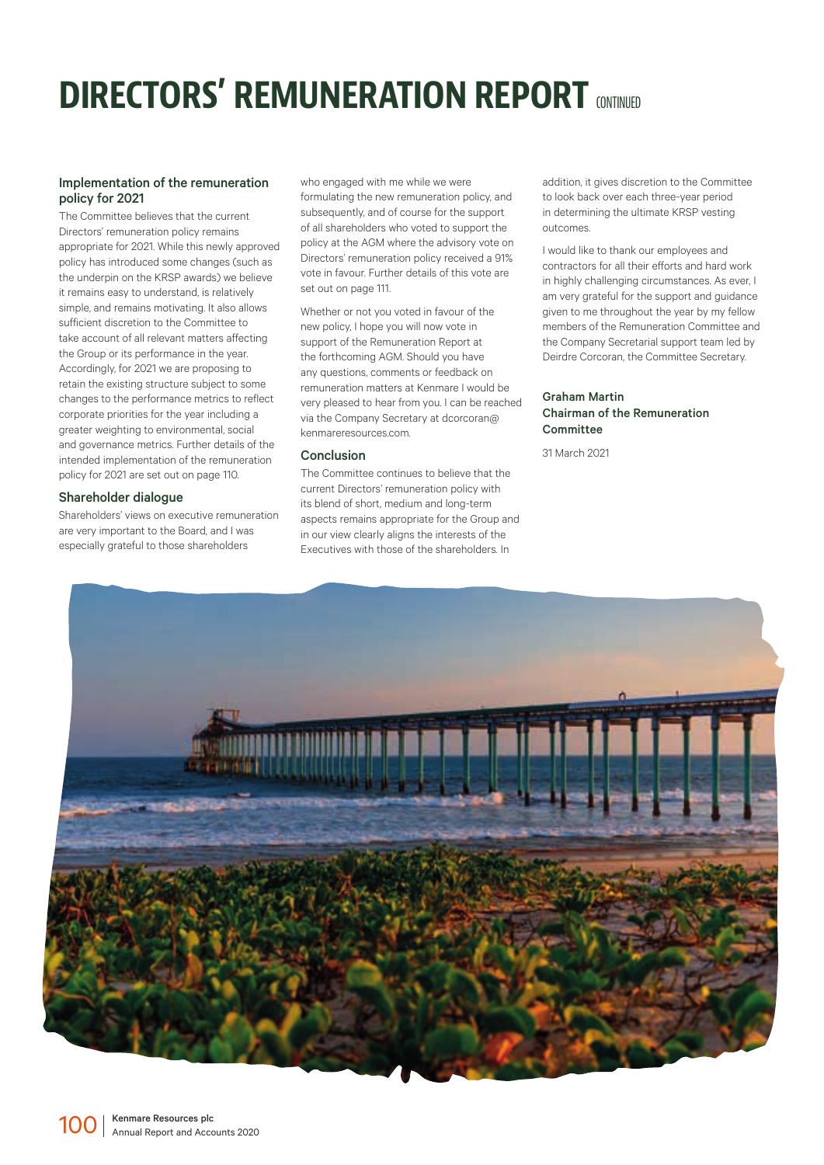# **DIRECTORS' REMUNERATION REPORT CONTINUED**

#### Implementation of the remuneration policy for 2021

The Committee believes that the current Directors' remuneration policy remains appropriate for 2021. While this newly approved policy has introduced some changes (such as the underpin on the KRSP awards) we believe it remains easy to understand, is relatively simple, and remains motivating. It also allows sufficient discretion to the Committee to take account of all relevant matters affecting the Group or its performance in the year. Accordingly, for 2021 we are proposing to retain the existing structure subject to some changes to the performance metrics to reflect corporate priorities for the year including a greater weighting to environmental, social and governance metrics. Further details of the intended implementation of the remuneration policy for 2021 are set out on page 110.

#### Shareholder dialogue

Shareholders' views on executive remuneration are very important to the Board, and I was especially grateful to those shareholders

who engaged with me while we were formulating the new remuneration policy, and subsequently, and of course for the support of all shareholders who voted to support the policy at the AGM where the advisory vote on Directors' remuneration policy received a 91% vote in favour. Further details of this vote are set out on page 111.

Whether or not you voted in favour of the new policy, I hope you will now vote in support of the Remuneration Report at the forthcoming AGM. Should you have any questions, comments or feedback on remuneration matters at Kenmare I would be very pleased to hear from you. I can be reached via the Company Secretary at dcorcoran@ kenmareresources.com.

#### Conclusion

The Committee continues to believe that the current Directors' remuneration policy with its blend of short, medium and long-term aspects remains appropriate for the Group and in our view clearly aligns the interests of the Executives with those of the shareholders. In

addition, it gives discretion to the Committee to look back over each three-year period in determining the ultimate KRSP vesting outcomes.

I would like to thank our employees and contractors for all their efforts and hard work in highly challenging circumstances. As ever, I am very grateful for the support and guidance given to me throughout the year by my fellow members of the Remuneration Committee and the Company Secretarial support team led by Deirdre Corcoran, the Committee Secretary.

#### Graham Martin Chairman of the Remuneration Committee

31 March 2021

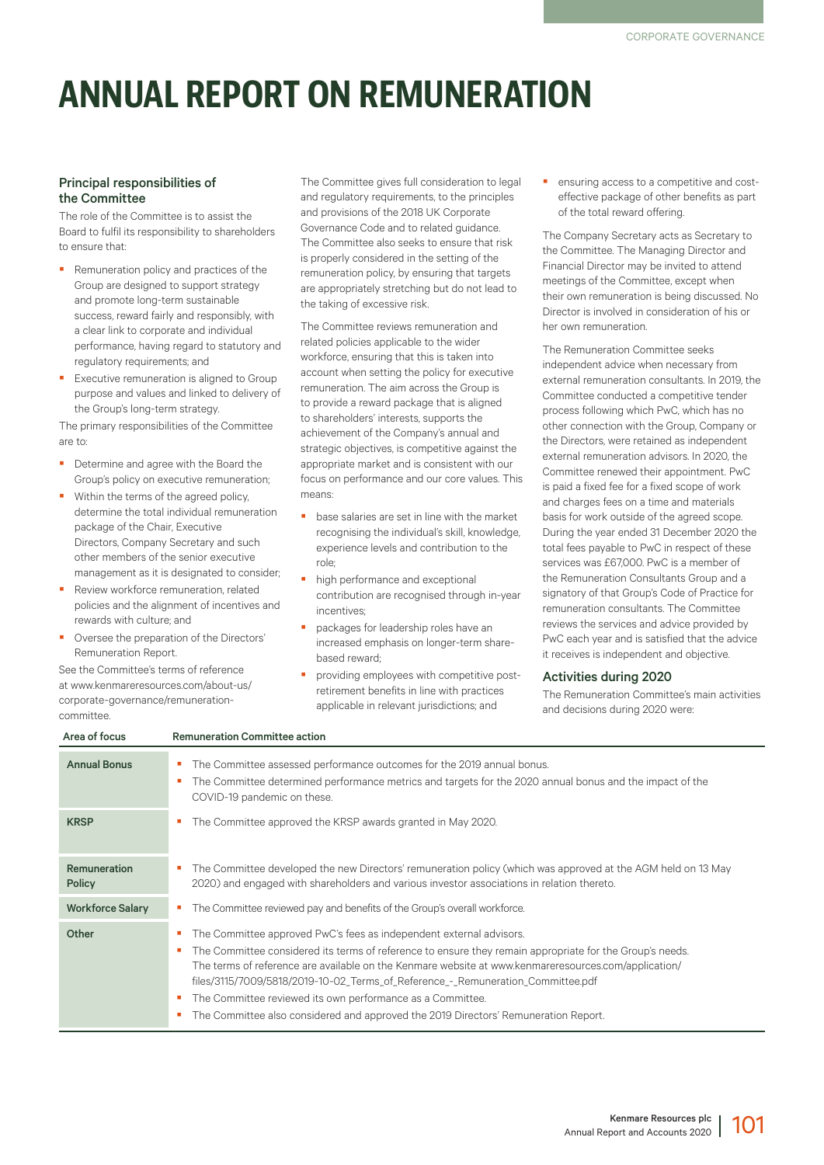### **ANNUAL REPORT ON REMUNERATION**

#### Principal responsibilities of the Committee

The role of the Committee is to assist the Board to fulfil its responsibility to shareholders to ensure that:

- Remuneration policy and practices of the Group are designed to support strategy and promote long-term sustainable success, reward fairly and responsibly, with a clear link to corporate and individual performance, having regard to statutory and regulatory requirements; and
- Executive remuneration is aligned to Group purpose and values and linked to delivery of the Group's long-term strategy.

The primary responsibilities of the Committee are to:

- Determine and agree with the Board the Group's policy on executive remuneration;
- Within the terms of the agreed policy, determine the total individual remuneration package of the Chair, Executive Directors, Company Secretary and such other members of the senior executive management as it is designated to consider;
- Review workforce remuneration, related policies and the alignment of incentives and rewards with culture; and
- Oversee the preparation of the Directors' Remuneration Report.

See the Committee's terms of reference at www.kenmareresources.com/about-us/ corporate-governance/remunerationcommittee.

The Committee gives full consideration to legal and regulatory requirements, to the principles and provisions of the 2018 UK Corporate Governance Code and to related guidance. The Committee also seeks to ensure that risk is properly considered in the setting of the remuneration policy, by ensuring that targets are appropriately stretching but do not lead to the taking of excessive risk.

The Committee reviews remuneration and related policies applicable to the wider workforce, ensuring that this is taken into account when setting the policy for executive remuneration. The aim across the Group is to provide a reward package that is aligned to shareholders' interests, supports the achievement of the Company's annual and strategic objectives, is competitive against the appropriate market and is consistent with our focus on performance and our core values. This means:

- base salaries are set in line with the market recognising the individual's skill, knowledge, experience levels and contribution to the role;
- high performance and exceptional contribution are recognised through in-year incentives;
- packages for leadership roles have an increased emphasis on longer-term sharebased reward;
- providing employees with competitive postretirement benefits in line with practices applicable in relevant jurisdictions; and

**ensuring access to a competitive and cost**effective package of other benefits as part of the total reward offering.

The Company Secretary acts as Secretary to the Committee. The Managing Director and Financial Director may be invited to attend meetings of the Committee, except when their own remuneration is being discussed. No Director is involved in consideration of his or her own remuneration.

The Remuneration Committee seeks independent advice when necessary from external remuneration consultants. In 2019, the Committee conducted a competitive tender process following which PwC, which has no other connection with the Group, Company or the Directors, were retained as independent external remuneration advisors. In 2020, the Committee renewed their appointment. PwC is paid a fixed fee for a fixed scope of work and charges fees on a time and materials basis for work outside of the agreed scope. During the year ended 31 December 2020 the total fees payable to PwC in respect of these services was £67,000. PwC is a member of the Remuneration Consultants Group and a signatory of that Group's Code of Practice for remuneration consultants. The Committee reviews the services and advice provided by PwC each year and is satisfied that the advice it receives is independent and objective.

#### Activities during 2020

The Remuneration Committee's main activities and decisions during 2020 were:

| Area of focus           | <b>Remuneration Committee action</b>                                                                                                                                                                                                                                                                                                                                                                                                                                                                                                                |
|-------------------------|-----------------------------------------------------------------------------------------------------------------------------------------------------------------------------------------------------------------------------------------------------------------------------------------------------------------------------------------------------------------------------------------------------------------------------------------------------------------------------------------------------------------------------------------------------|
| <b>Annual Bonus</b>     | The Committee assessed performance outcomes for the 2019 annual bonus.<br>п<br>The Committee determined performance metrics and targets for the 2020 annual bonus and the impact of the<br>п<br>COVID-19 pandemic on these.                                                                                                                                                                                                                                                                                                                         |
| <b>KRSP</b>             | The Committee approved the KRSP awards granted in May 2020.                                                                                                                                                                                                                                                                                                                                                                                                                                                                                         |
| Remuneration<br>Policy  | The Committee developed the new Directors' remuneration policy (which was approved at the AGM held on 13 May<br>п<br>2020) and engaged with shareholders and various investor associations in relation thereto.                                                                                                                                                                                                                                                                                                                                     |
| <b>Workforce Salary</b> | The Committee reviewed pay and benefits of the Group's overall workforce.<br>п                                                                                                                                                                                                                                                                                                                                                                                                                                                                      |
| Other                   | The Committee approved PwC's fees as independent external advisors.<br>п<br>The Committee considered its terms of reference to ensure they remain appropriate for the Group's needs.<br>г<br>The terms of reference are available on the Kenmare website at www.kenmareresources.com/application/<br>files/3115/7009/5818/2019-10-02_Terms_of_Reference_-_Remuneration_Committee.pdf<br>The Committee reviewed its own performance as a Committee.<br>п<br>The Committee also considered and approved the 2019 Directors' Remuneration Report.<br>п |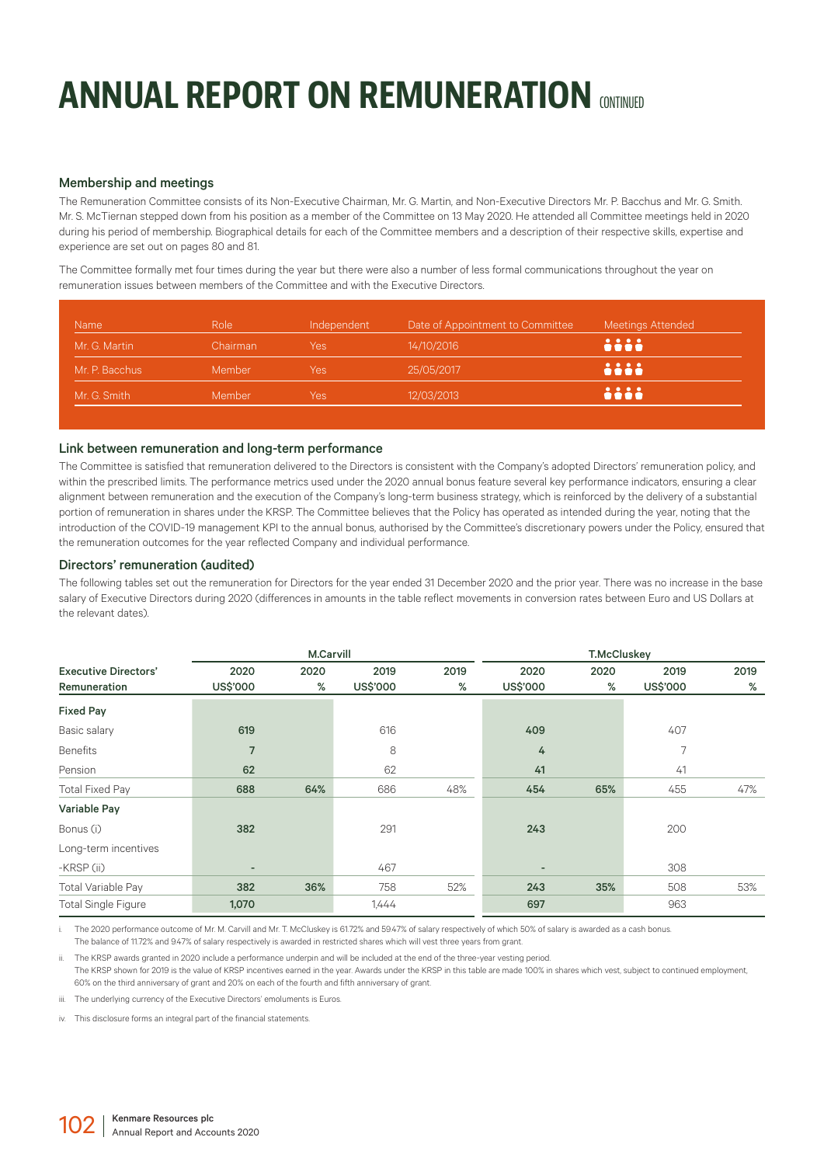#### Membership and meetings

The Remuneration Committee consists of its Non-Executive Chairman, Mr. G. Martin, and Non-Executive Directors Mr. P. Bacchus and Mr. G. Smith. Mr. S. McTiernan stepped down from his position as a member of the Committee on 13 May 2020. He attended all Committee meetings held in 2020 during his period of membership. Biographical details for each of the Committee members and a description of their respective skills, expertise and experience are set out on pages 80 and 81.

The Committee formally met four times during the year but there were also a number of less formal communications throughout the year on remuneration issues between members of the Committee and with the Executive Directors.

| <b>Name</b>    | <b>Role</b> | Independent | Date of Appointment to Committee | Meetings Attended |
|----------------|-------------|-------------|----------------------------------|-------------------|
| Mr. G. Martin  | Chairman    | Yes:        | 14/10/2016                       | iiii              |
| Mr. P. Bacchus | Member      | Yes:        | 25/05/2017                       | iiii              |
| Mr. G. Smith   | Member      | Yes:        | 12/03/2013                       | iiii              |

#### Link between remuneration and long-term performance

The Committee is satisfied that remuneration delivered to the Directors is consistent with the Company's adopted Directors' remuneration policy, and within the prescribed limits. The performance metrics used under the 2020 annual bonus feature several key performance indicators, ensuring a clear alignment between remuneration and the execution of the Company's long-term business strategy, which is reinforced by the delivery of a substantial portion of remuneration in shares under the KRSP. The Committee believes that the Policy has operated as intended during the year, noting that the introduction of the COVID-19 management KPI to the annual bonus, authorised by the Committee's discretionary powers under the Policy, ensured that the remuneration outcomes for the year reflected Company and individual performance.

#### Directors' remuneration (audited)

The following tables set out the remuneration for Directors for the year ended 31 December 2020 and the prior year. There was no increase in the base salary of Executive Directors during 2020 (differences in amounts in the table reflect movements in conversion rates between Euro and US Dollars at the relevant dates).

|                             |          | <b>M.Carvill</b> |          |      |          | <b>T.McCluskey</b> |          |      |
|-----------------------------|----------|------------------|----------|------|----------|--------------------|----------|------|
| <b>Executive Directors'</b> | 2020     | 2020             | 2019     | 2019 | 2020     | 2020               | 2019     | 2019 |
| Remuneration                | US\$'000 | ℅                | US\$'000 | ℅    | US\$'000 | %                  | US\$'000 | ℅    |
| <b>Fixed Pay</b>            |          |                  |          |      |          |                    |          |      |
| Basic salary                | 619      |                  | 616      |      | 409      |                    | 407      |      |
| <b>Benefits</b>             | 7        |                  | 8        |      | 4        |                    | 7        |      |
| Pension                     | 62       |                  | 62       |      | 41       |                    | 41       |      |
| <b>Total Fixed Pay</b>      | 688      | 64%              | 686      | 48%  | 454      | 65%                | 455      | 47%  |
| Variable Pay                |          |                  |          |      |          |                    |          |      |
| Bonus (i)                   | 382      |                  | 291      |      | 243      |                    | 200      |      |
| Long-term incentives        |          |                  |          |      |          |                    |          |      |
| -KRSP (ii)                  | ٠        |                  | 467      |      | ٠        |                    | 308      |      |
| Total Variable Pay          | 382      | 36%              | 758      | 52%  | 243      | 35%                | 508      | 53%  |
| <b>Total Single Figure</b>  | 1,070    |                  | 1.444    |      | 697      |                    | 963      |      |

The 2020 performance outcome of Mr. M. Carvill and Mr. T. McCluskey is 61.72% and 59.47% of salary respectively of which 50% of salary is awarded as a cash bonus. The balance of 11.72% and 9.47% of salary respectively is awarded in restricted shares which will vest three years from grant.

ii. The KRSP awards granted in 2020 include a performance underpin and will be included at the end of the three-year vesting period.

The KRSP shown for 2019 is the value of KRSP incentives earned in the year. Awards under the KRSP in this table are made 100% in shares which vest, subject to continued employment, 60% on the third anniversary of grant and 20% on each of the fourth and fifth anniversary of grant.

iii. The underlying currency of the Executive Directors' emoluments is Euros.

iv. This disclosure forms an integral part of the financial statements.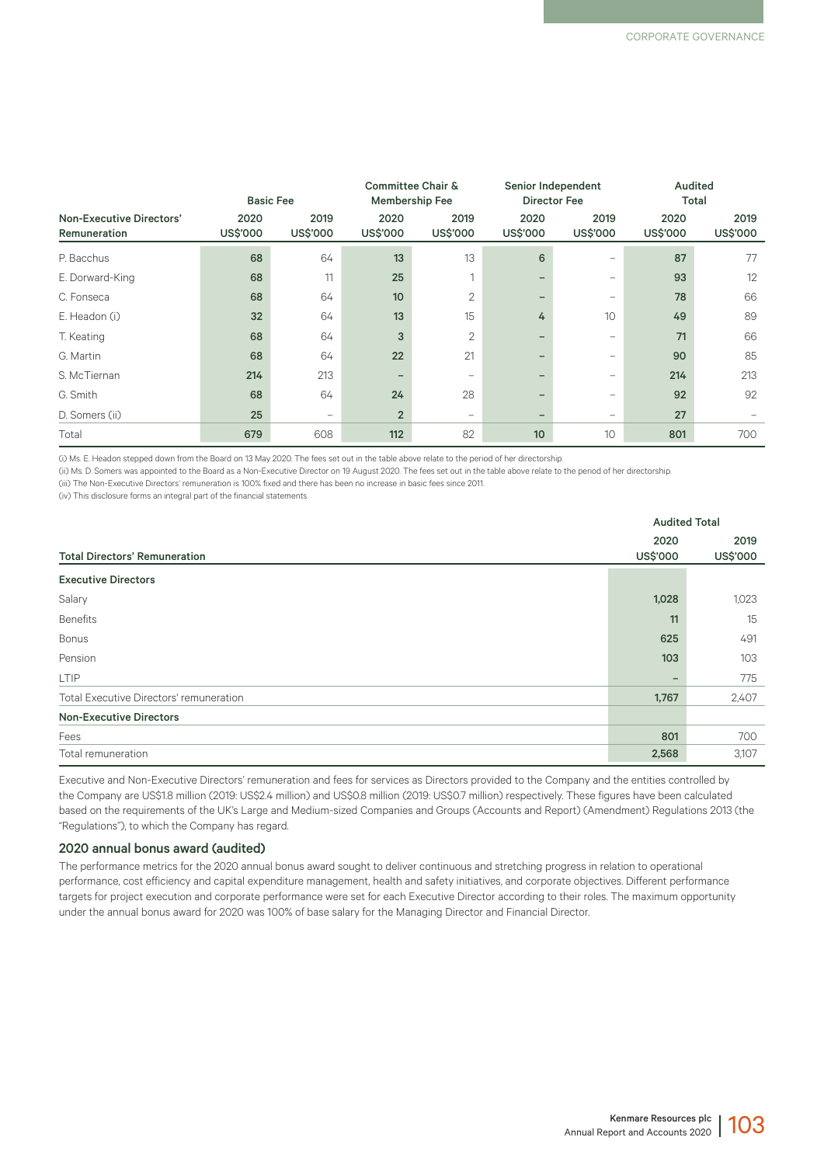|                                          |                  | <b>Basic Fee</b>  |                          | <b>Committee Chair &amp;</b><br><b>Membership Fee</b> |                  | Senior Independent<br><b>Director Fee</b> |                  | Audited<br><b>Total</b> |
|------------------------------------------|------------------|-------------------|--------------------------|-------------------------------------------------------|------------------|-------------------------------------------|------------------|-------------------------|
| Non-Executive Directors'<br>Remuneration | 2020<br>US\$'000 | 2019<br>US\$'000  | 2020<br>US\$'000         | 2019<br>US\$'000                                      | 2020<br>US\$'000 | 2019<br>US\$'000                          | 2020<br>US\$'000 | 2019<br>US\$'000        |
| P. Bacchus                               | 68               | 64                | 13                       | 13                                                    | 6                | $\overline{\phantom{m}}$                  | 87               | 77                      |
| E. Dorward-King                          | 68               | 11                | 25                       |                                                       |                  |                                           | 93               | 12                      |
| C. Fonseca                               | 68               | 64                | 10 <sup>°</sup>          | 2                                                     |                  | $\overline{\phantom{0}}$                  | 78               | 66                      |
| E. Headon (i)                            | 32               | 64                | 13                       | 15                                                    | 4                | 10                                        | 49               | 89                      |
| T. Keating                               | 68               | 64                | 3                        | 2                                                     |                  | -                                         | 71               | 66                      |
| G. Martin                                | 68               | 64                | 22                       | 21                                                    |                  | $\overline{\phantom{0}}$                  | 90               | 85                      |
| S. McTiernan                             | 214              | 213               | $\overline{\phantom{0}}$ |                                                       |                  |                                           | 214              | 213                     |
| G. Smith                                 | 68               | 64                | 24                       | 28                                                    | -                | $\overline{\phantom{0}}$                  | 92               | 92                      |
| D. Somers (ii)                           | 25               | $\qquad \qquad -$ | $\overline{2}$           | $\overline{\phantom{m}}$                              | -                | $\overline{\phantom{m}}$                  | 27               |                         |
| Total                                    | 679              | 608               | $112$                    | 82                                                    | 10 <sup>°</sup>  | 10                                        | 801              | 700                     |

(i) Ms. E. Headon stepped down from the Board on 13 May 2020. The fees set out in the table above relate to the period of her directorship.

(ii) Ms. D. Somers was appointed to the Board as a Non-Executive Director on 19 August 2020. The fees set out in the table above relate to the period of her directorship.

(iii) The Non-Executive Directors' remuneration is 100% fixed and there has been no increase in basic fees since 2011.

(iv) This disclosure forms an integral part of the financial statements.

|                                         | <b>Audited Total</b>     |                  |
|-----------------------------------------|--------------------------|------------------|
| <b>Total Directors' Remuneration</b>    | 2020<br>US\$'000         | 2019<br>US\$'000 |
| <b>Executive Directors</b>              |                          |                  |
| Salary                                  | 1,028                    | 1,023            |
| <b>Benefits</b>                         | 11                       | 15               |
| <b>Bonus</b>                            | 625                      | 491              |
| Pension                                 | 103                      | 103              |
| LTIP                                    | $\overline{\phantom{0}}$ | 775              |
| Total Executive Directors' remuneration | 1,767                    | 2,407            |
| <b>Non-Executive Directors</b>          |                          |                  |
| Fees                                    | 801                      | 700              |
| Total remuneration                      | 2,568                    | 3,107            |

Executive and Non-Executive Directors' remuneration and fees for services as Directors provided to the Company and the entities controlled by the Company are US\$1.8 million (2019: US\$2.4 million) and US\$0.8 million (2019: US\$0.7 million) respectively. These figures have been calculated based on the requirements of the UK's Large and Medium-sized Companies and Groups (Accounts and Report) (Amendment) Regulations 2013 (the "Regulations"), to which the Company has regard.

#### 2020 annual bonus award (audited)

The performance metrics for the 2020 annual bonus award sought to deliver continuous and stretching progress in relation to operational performance, cost efficiency and capital expenditure management, health and safety initiatives, and corporate objectives. Different performance targets for project execution and corporate performance were set for each Executive Director according to their roles. The maximum opportunity under the annual bonus award for 2020 was 100% of base salary for the Managing Director and Financial Director.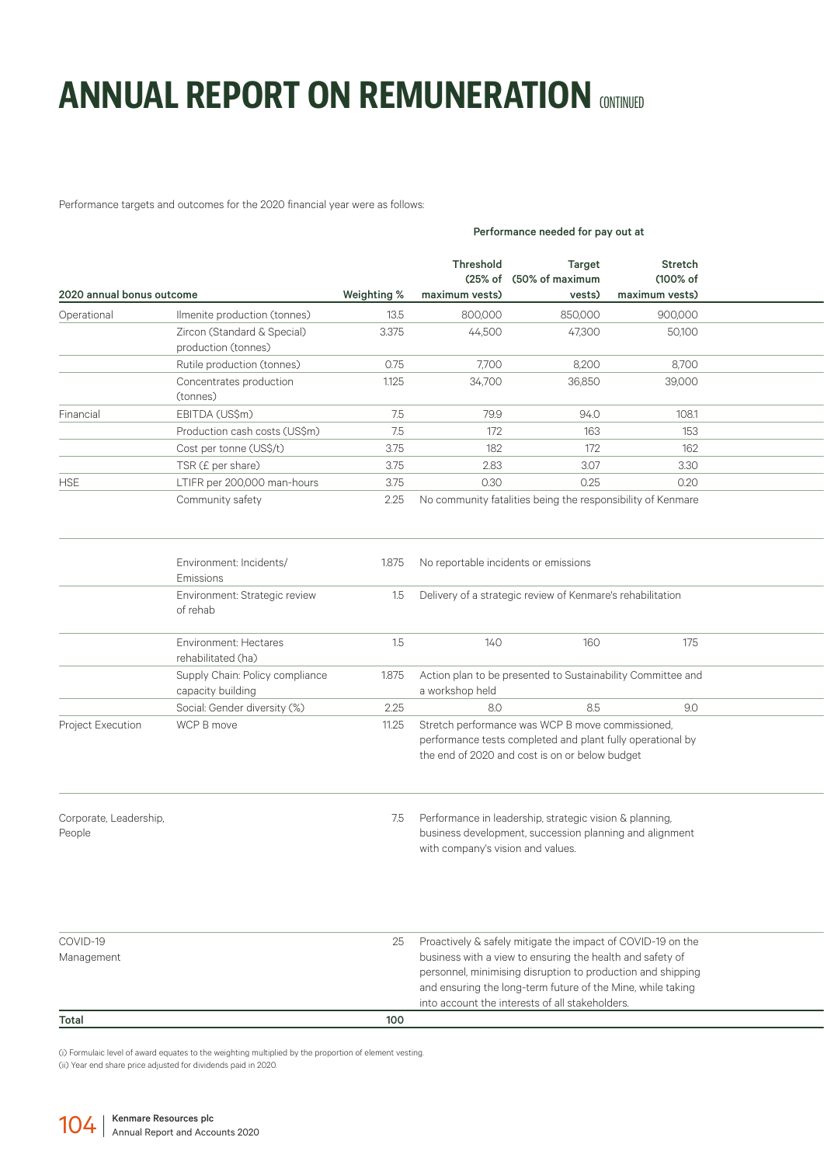Performance targets and outcomes for the 2020 financial year were as follows:

|                                  |                                                      |             | Threshold                                                                                                                                                                     | <b>Target</b><br>(25% of (50% of maximum | Stretch<br>(100% of |
|----------------------------------|------------------------------------------------------|-------------|-------------------------------------------------------------------------------------------------------------------------------------------------------------------------------|------------------------------------------|---------------------|
| 2020 annual bonus outcome        |                                                      | Weighting % | maximum vests)                                                                                                                                                                | vests)                                   | maximum vests)      |
| Operational                      | Ilmenite production (tonnes)                         | 13.5        | 800,000                                                                                                                                                                       | 850,000                                  | 900,000             |
|                                  | Zircon (Standard & Special)<br>production (tonnes)   | 3.375       | 44,500                                                                                                                                                                        | 47,300                                   | 50,100              |
|                                  | Rutile production (tonnes)                           | 0.75        | 7,700                                                                                                                                                                         | 8,200                                    | 8,700               |
|                                  | Concentrates production<br>(tonnes)                  | 1.125       | 34,700                                                                                                                                                                        | 36,850                                   | 39,000              |
| Financial                        | EBITDA (US\$m)                                       | 7.5         | 79.9                                                                                                                                                                          | 94.0                                     | 108.1               |
|                                  | Production cash costs (US\$m)                        | 7.5         | 172                                                                                                                                                                           | 163                                      | 153                 |
|                                  | Cost per tonne (US\$/t)                              | 3.75        | 182                                                                                                                                                                           | 172                                      | 162                 |
|                                  | TSR (£ per share)                                    | 3.75        | 2.83                                                                                                                                                                          | 3.07                                     | 3.30                |
| <b>HSE</b>                       | LTIFR per 200,000 man-hours                          | 3.75        | 0.30                                                                                                                                                                          | 0.25                                     | 0.20                |
|                                  | Community safety                                     | 2.25        | No community fatalities being the responsibility of Kenmare                                                                                                                   |                                          |                     |
|                                  | Environment: Incidents/<br>Emissions                 |             | 1.875 No reportable incidents or emissions                                                                                                                                    |                                          |                     |
|                                  | Environment: Strategic review<br>of rehab            |             | 1.5 Delivery of a strategic review of Kenmare's rehabilitation                                                                                                                |                                          |                     |
|                                  | <b>Environment: Hectares</b><br>rehabilitated (ha)   | 1.5         | 140                                                                                                                                                                           | 160                                      | 175                 |
|                                  | Supply Chain: Policy compliance<br>capacity building | 1.875       | Action plan to be presented to Sustainability Committee and<br>a workshop held                                                                                                |                                          |                     |
|                                  | Social: Gender diversity (%)                         | 2.25        | 8.0                                                                                                                                                                           | 8.5                                      | 9.0                 |
| Project Execution                | WCP B move                                           | 11.25       | Stretch performance was WCP B move commissioned,<br>performance tests completed and plant fully operational by<br>the end of 2020 and cost is on or below budget              |                                          |                     |
| Corporate, Leadership,<br>People |                                                      |             | 7.5 Performance in leadership, strategic vision & planning,<br>business development, succession planning and alignment<br>with company's vision and values.                   |                                          |                     |
| COVID-19<br>Management           |                                                      |             | 25 Proactively & safely mitigate the impact of COVID-19 on the<br>business with a view to ensuring the health and safety of                                                   |                                          |                     |
|                                  |                                                      |             | personnel, minimising disruption to production and shipping<br>and ensuring the long-term future of the Mine, while taking<br>into account the interests of all stakeholders. |                                          |                     |
| Total                            |                                                      | 100         |                                                                                                                                                                               |                                          |                     |

Performance needed for pay out at

(i) Formulaic level of award equates to the weighting multiplied by the proportion of element vesting. (ii) Year end share price adjusted for dividends paid in 2020.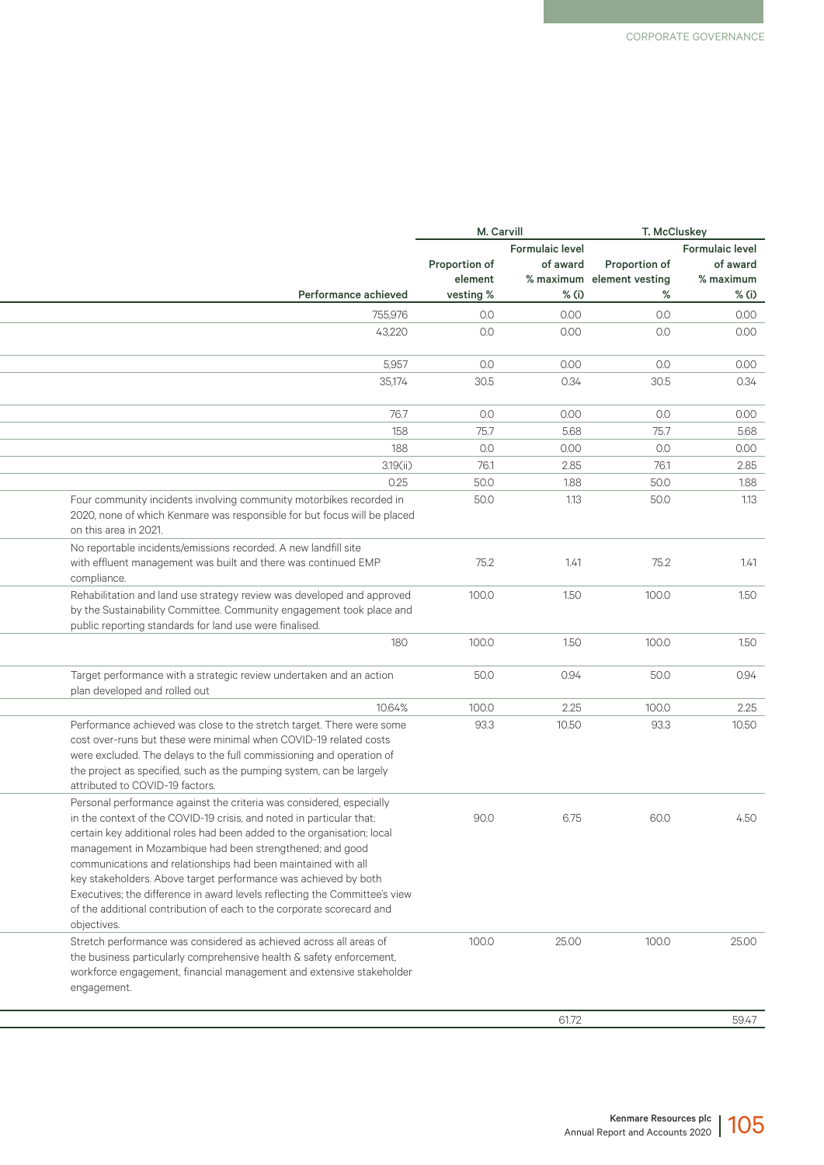|                                                                                                                           | M. Carvill    |                        | T. McCluskey              |                 |
|---------------------------------------------------------------------------------------------------------------------------|---------------|------------------------|---------------------------|-----------------|
|                                                                                                                           |               | <b>Formulaic level</b> |                           | Formulaic level |
|                                                                                                                           | Proportion of | of award               | Proportion of             | of award        |
|                                                                                                                           | element       |                        | % maximum element vesting | % maximum       |
| Performance achieved                                                                                                      | vesting %     | % (i)                  | %                         | $%$ (i)         |
| 755,976                                                                                                                   | 0.0           | 0.00                   | 0.0                       | 0.00            |
| 43,220                                                                                                                    | 0.0           | 0.00                   | 0.0                       | 0.00            |
| 5,957                                                                                                                     | 0.0           | 0.00                   | 0.0                       | 0.00            |
| 35,174                                                                                                                    | 30.5          | 0.34                   | 30.5                      | 0.34            |
|                                                                                                                           |               |                        |                           |                 |
| 76.7                                                                                                                      | 0.0           | 0.00                   | 0.0                       | 0.00            |
| 158                                                                                                                       | 75.7          | 5.68                   | 75.7                      | 5.68            |
| 188                                                                                                                       | 0.0           | 0.00                   | 0.0                       | 0.00            |
| 3.19(ii)                                                                                                                  | 76.1          | 2.85                   | 76.1                      | 2.85            |
| 0.25                                                                                                                      | 50.0          | 1.88                   | 50.0                      | 1.88            |
| Four community incidents involving community motorbikes recorded in                                                       | 50.0          | 1.13                   | 50.0                      |                 |
| 2020, none of which Kenmare was responsible for but focus will be placed                                                  |               |                        |                           |                 |
| on this area in 2021.                                                                                                     |               |                        |                           |                 |
| No reportable incidents/emissions recorded. A new landfill site                                                           |               |                        |                           |                 |
| with effluent management was built and there was continued EMP                                                            | 75.2          | 1.41                   | 75.2                      |                 |
| compliance.                                                                                                               |               |                        |                           |                 |
| Rehabilitation and land use strategy review was developed and approved                                                    | 100.0         | 1.50                   | 100.0                     |                 |
| by the Sustainability Committee. Community engagement took place and                                                      |               |                        |                           |                 |
| public reporting standards for land use were finalised.                                                                   |               |                        |                           |                 |
| 180                                                                                                                       | 100.0         | 1.50                   | 100.0                     |                 |
|                                                                                                                           |               |                        |                           |                 |
| Target performance with a strategic review undertaken and an action                                                       | 50.0          | 0.94                   | 50.0                      |                 |
| plan developed and rolled out                                                                                             |               |                        |                           |                 |
| 10.64%                                                                                                                    | 100.0         | 2.25                   | 100.0                     |                 |
| Performance achieved was close to the stretch target. There were some                                                     | 93.3          | 10.50                  | 93.3                      |                 |
| cost over-runs but these were minimal when COVID-19 related costs                                                         |               |                        |                           |                 |
| were excluded. The delays to the full commissioning and operation of                                                      |               |                        |                           |                 |
| the project as specified, such as the pumping system, can be largely                                                      |               |                        |                           |                 |
| attributed to COVID-19 factors.                                                                                           |               |                        |                           |                 |
| Personal performance against the criteria was considered, especially                                                      |               |                        |                           |                 |
| in the context of the COVID-19 crisis, and noted in particular that:                                                      | 90.0          | 6.75                   | 60.0                      |                 |
| certain key additional roles had been added to the organisation; local                                                    |               |                        |                           |                 |
| management in Mozambique had been strengthened; and good<br>communications and relationships had been maintained with all |               |                        |                           |                 |
| key stakeholders. Above target performance was achieved by both                                                           |               |                        |                           |                 |
| Executives; the difference in award levels reflecting the Committee's view                                                |               |                        |                           |                 |
| of the additional contribution of each to the corporate scorecard and                                                     |               |                        |                           |                 |
| objectives.                                                                                                               |               |                        |                           |                 |
| Stretch performance was considered as achieved across all areas of                                                        | 100.0         | 25.00                  | 100.0                     | 25.00           |
| the business particularly comprehensive health & safety enforcement,                                                      |               |                        |                           |                 |
| workforce engagement, financial management and extensive stakeholder                                                      |               |                        |                           |                 |
| engagement.                                                                                                               |               |                        |                           |                 |
|                                                                                                                           |               |                        |                           |                 |
|                                                                                                                           |               | 61.72                  |                           | 59.47           |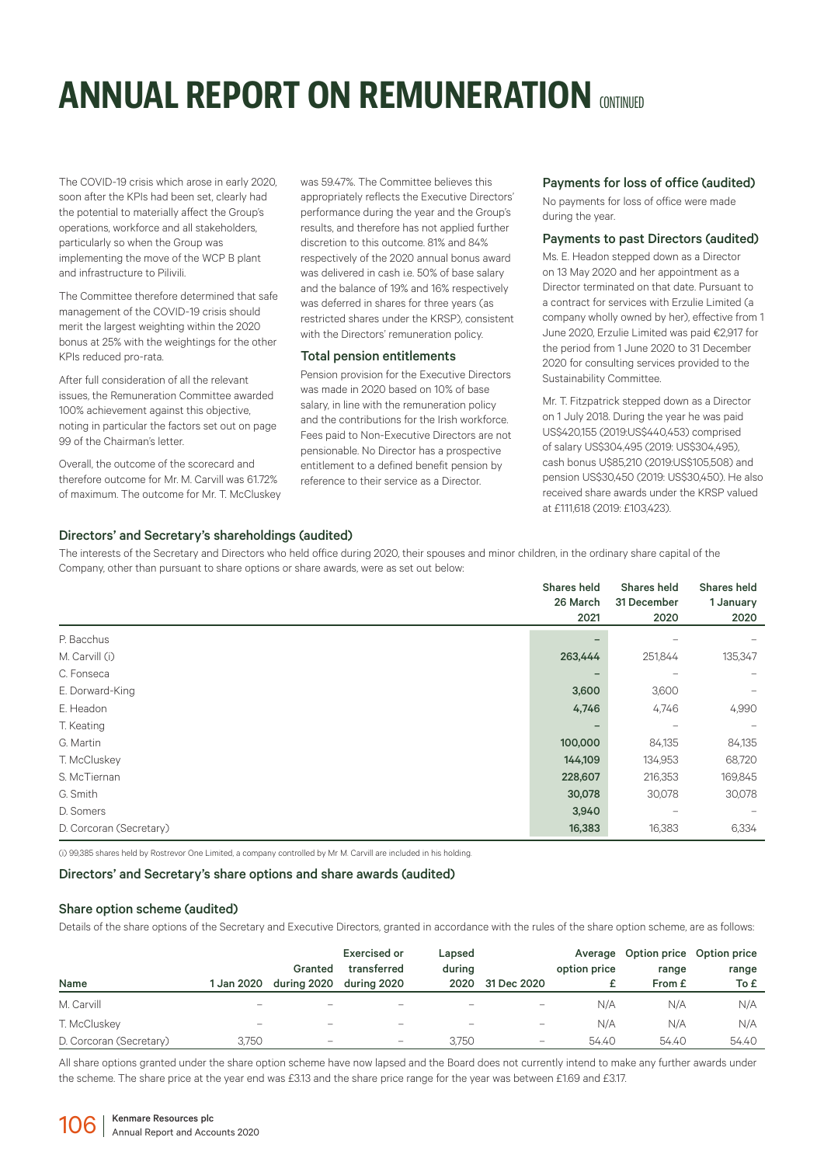The COVID-19 crisis which arose in early 2020, soon after the KPIs had been set, clearly had the potential to materially affect the Group's operations, workforce and all stakeholders, particularly so when the Group was implementing the move of the WCP B plant and infrastructure to Pilivili.

The Committee therefore determined that safe management of the COVID-19 crisis should merit the largest weighting within the 2020 bonus at 25% with the weightings for the other KPIs reduced pro-rata.

After full consideration of all the relevant issues, the Remuneration Committee awarded 100% achievement against this objective, noting in particular the factors set out on page 99 of the Chairman's letter.

Overall, the outcome of the scorecard and therefore outcome for Mr. M. Carvill was 61.72% of maximum. The outcome for Mr. T. McCluskey was 59.47%. The Committee believes this appropriately reflects the Executive Directors' performance during the year and the Group's results, and therefore has not applied further discretion to this outcome. 81% and 84% respectively of the 2020 annual bonus award was delivered in cash i.e. 50% of base salary and the balance of 19% and 16% respectively was deferred in shares for three years (as restricted shares under the KRSP), consistent with the Directors' remuneration policy.

#### Total pension entitlements

Pension provision for the Executive Directors was made in 2020 based on 10% of base salary, in line with the remuneration policy and the contributions for the Irish workforce. Fees paid to Non-Executive Directors are not pensionable. No Director has a prospective entitlement to a defined benefit pension by reference to their service as a Director.

#### Payments for loss of office (audited)

No payments for loss of office were made during the year.

#### Payments to past Directors (audited)

Ms. E. Headon stepped down as a Director on 13 May 2020 and her appointment as a Director terminated on that date. Pursuant to a contract for services with Erzulie Limited (a company wholly owned by her), effective from 1 June 2020, Erzulie Limited was paid €2,917 for the period from 1 June 2020 to 31 December 2020 for consulting services provided to the Sustainability Committee.

Mr. T. Fitzpatrick stepped down as a Director on 1 July 2018. During the year he was paid US\$420,155 (2019:US\$440,453) comprised of salary US\$304,495 (2019: US\$304,495), cash bonus U\$85,210 (2019:US\$105,508) and pension US\$30,450 (2019: US\$30,450). He also received share awards under the KRSP valued at £111618 (2019: £103,423).

#### Directors' and Secretary's shareholdings (audited)

The interests of the Secretary and Directors who held office during 2020, their spouses and minor children, in the ordinary share capital of the Company, other than pursuant to share options or share awards, were as set out below:

|                         | Shares held | <b>Shares held</b> | <b>Shares held</b> |
|-------------------------|-------------|--------------------|--------------------|
|                         | 26 March    | 31 December        | 1 January          |
|                         | 2021        | 2020               | 2020               |
| P. Bacchus              |             |                    |                    |
| M. Carvill (i)          | 263,444     | 251,844            | 135,347            |
| C. Fonseca              |             |                    |                    |
| E. Dorward-King         | 3,600       | 3,600              |                    |
| E. Headon               | 4,746       | 4,746              | 4,990              |
| T. Keating              |             |                    |                    |
| G. Martin               | 100,000     | 84,135             | 84,135             |
| T. McCluskey            | 144,109     | 134,953            | 68,720             |
| S. McTiernan            | 228,607     | 216,353            | 169,845            |
| G. Smith                | 30,078      | 30,078             | 30,078             |
| D. Somers               | 3,940       |                    |                    |
| D. Corcoran (Secretary) | 16,383      | 16,383             | 6,334              |

(i) 99,385 shares held by Rostrevor One Limited, a company controlled by Mr M. Carvill are included in his holding.

#### Directors' and Secretary's share options and share awards (audited)

#### Share option scheme (audited)

Details of the share options of the Secretary and Executive Directors, granted in accordance with the rules of the share option scheme, are as follows:

| Name                    | 1 Jan 2020               | Granted<br>during 2020   | <b>Exercised or</b><br>transferred<br>during 2020 | $L$ apsed<br>during<br>2020 | 31 Dec 2020              | option price | Average Option price Option price<br>range<br>From £ | range<br>To £ |
|-------------------------|--------------------------|--------------------------|---------------------------------------------------|-----------------------------|--------------------------|--------------|------------------------------------------------------|---------------|
| M. Carvill              | $\overline{\phantom{0}}$ | $\overline{\phantom{0}}$ | $\overline{\phantom{0}}$                          |                             | $\overline{\phantom{0}}$ | N/A          | N/A                                                  | N/A           |
| T. McCluskey            | $\overline{\phantom{0}}$ | -                        | $\overline{\phantom{0}}$                          | $\overline{\phantom{0}}$    | $\overline{\phantom{0}}$ | N/A          | N/A                                                  | N/A           |
| D. Corcoran (Secretary) | 3.750                    | $\overline{\phantom{a}}$ | -                                                 | 3.750                       | $\overline{\phantom{0}}$ | 54.40        | 54.40                                                | 54.40         |

All share options granted under the share option scheme have now lapsed and the Board does not currently intend to make any further awards under the scheme. The share price at the year end was £3.13 and the share price range for the year was between £1.69 and £3.17.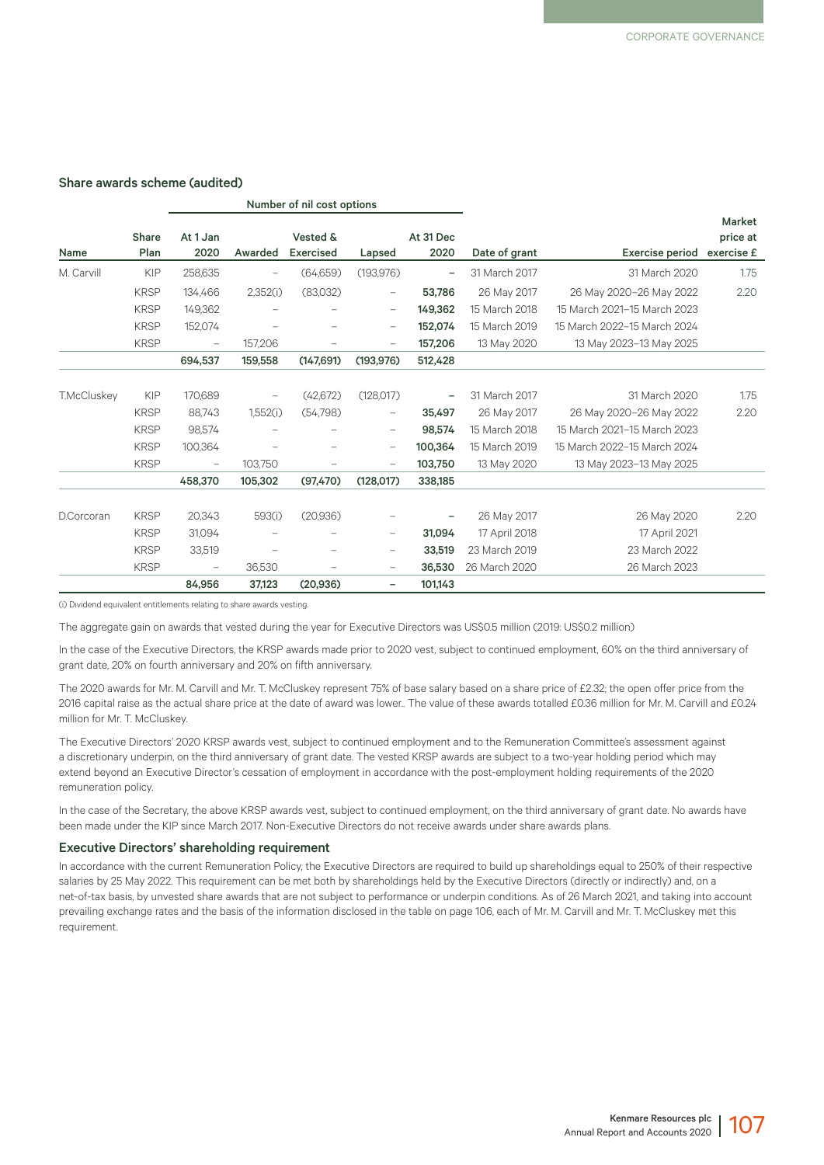#### Share awards scheme (audited)

|                    |                      |                          |                   | Number of nil cost options |                          |                   |               |                             |                                  |
|--------------------|----------------------|--------------------------|-------------------|----------------------------|--------------------------|-------------------|---------------|-----------------------------|----------------------------------|
| Name               | <b>Share</b><br>Plan | At 1 Jan<br>2020         | Awarded           | Vested &<br>Exercised      | Lapsed                   | At 31 Dec<br>2020 | Date of grant | Exercise period             | Market<br>price at<br>exercise £ |
| M. Carvill         | <b>KIP</b>           | 258,635                  | $\qquad \qquad -$ | (64, 659)                  | (193, 976)               |                   | 31 March 2017 | 31 March 2020               | 1.75                             |
|                    | <b>KRSP</b>          | 134,466                  | 2,352(i)          | (83,032)                   | $\overline{\phantom{m}}$ | 53,786            | 26 May 2017   | 26 May 2020-26 May 2022     | 2.20                             |
|                    | <b>KRSP</b>          | 149,362                  |                   |                            | $\overline{\phantom{m}}$ | 149,362           | 15 March 2018 | 15 March 2021-15 March 2023 |                                  |
|                    | <b>KRSP</b>          | 152,074                  |                   |                            | $\overline{\phantom{m}}$ | 152,074           | 15 March 2019 | 15 March 2022-15 March 2024 |                                  |
|                    | <b>KRSP</b>          | $\overline{\phantom{0}}$ | 157,206           | $\overline{\phantom{0}}$   | $\overline{\phantom{0}}$ | 157,206           | 13 May 2020   | 13 May 2023-13 May 2025     |                                  |
|                    |                      | 694,537                  | 159,558           | (147,691)                  | (193, 976)               | 512,428           |               |                             |                                  |
| <b>T.McCluskey</b> | <b>KIP</b>           | 170,689                  |                   | (42, 672)                  | (128,017)                |                   | 31 March 2017 | 31 March 2020               | 1.75                             |
|                    | <b>KRSP</b>          | 88,743                   | 1,552(i)          | (54,798)                   | $\overline{\phantom{m}}$ | 35,497            | 26 May 2017   | 26 May 2020-26 May 2022     | 2.20                             |
|                    | <b>KRSP</b>          | 98,574                   | $\qquad \qquad -$ | $\qquad \qquad -$          | $\overline{\phantom{m}}$ | 98.574            | 15 March 2018 | 15 March 2021-15 March 2023 |                                  |
|                    | <b>KRSP</b>          | 100,364                  |                   |                            | $\overline{\phantom{m}}$ | 100,364           | 15 March 2019 | 15 March 2022-15 March 2024 |                                  |
|                    | <b>KRSP</b>          | $\overline{\phantom{m}}$ | 103,750           |                            | $\overline{\phantom{m}}$ | 103,750           | 13 May 2020   | 13 May 2023-13 May 2025     |                                  |
|                    |                      | 458,370                  | 105.302           | (97, 470)                  | (128,017)                | 338,185           |               |                             |                                  |
| D.Corcoran         | <b>KRSP</b>          | 20,343                   | 593(i)            | (20, 936)                  |                          |                   | 26 May 2017   | 26 May 2020                 | 2.20                             |
|                    | <b>KRSP</b>          | 31,094                   |                   |                            | $\overline{\phantom{m}}$ | 31,094            | 17 April 2018 | 17 April 2021               |                                  |
|                    | <b>KRSP</b>          | 33,519                   |                   |                            | $\overline{\phantom{0}}$ | 33.519            | 23 March 2019 | 23 March 2022               |                                  |
|                    | <b>KRSP</b>          | $\overline{\phantom{m}}$ | 36,530            | $\overline{\phantom{0}}$   | $\overline{\phantom{m}}$ | 36,530            | 26 March 2020 | 26 March 2023               |                                  |
|                    |                      | 84,956                   | 37,123            | (20, 936)                  | -                        | 101,143           |               |                             |                                  |

(i) Dividend equivalent entitlements relating to share awards vesting.

The aggregate gain on awards that vested during the year for Executive Directors was US\$0.5 million (2019: US\$0.2 million)

In the case of the Executive Directors, the KRSP awards made prior to 2020 vest, subject to continued employment, 60% on the third anniversary of grant date, 20% on fourth anniversary and 20% on fifth anniversary.

The 2020 awards for Mr. M. Carvill and Mr. T. McCluskey represent 75% of base salary based on a share price of £2.32; the open offer price from the 2016 capital raise as the actual share price at the date of award was lower.. The value of these awards totalled £0.36 million for Mr. M. Carvill and £0.24 million for Mr. T. McCluskey.

The Executive Directors' 2020 KRSP awards vest, subject to continued employment and to the Remuneration Committee's assessment against a discretionary underpin, on the third anniversary of grant date. The vested KRSP awards are subject to a two-year holding period which may extend beyond an Executive Director's cessation of employment in accordance with the post-employment holding requirements of the 2020 remuneration policy.

In the case of the Secretary, the above KRSP awards vest, subject to continued employment, on the third anniversary of grant date. No awards have been made under the KIP since March 2017. Non-Executive Directors do not receive awards under share awards plans.

#### Executive Directors' shareholding requirement

In accordance with the current Remuneration Policy, the Executive Directors are required to build up shareholdings equal to 250% of their respective salaries by 25 May 2022. This requirement can be met both by shareholdings held by the Executive Directors (directly or indirectly) and, on a net-of-tax basis, by unvested share awards that are not subject to performance or underpin conditions. As of 26 March 2021, and taking into account prevailing exchange rates and the basis of the information disclosed in the table on page 106, each of Mr. M. Carvill and Mr. T. McCluskey met this requirement.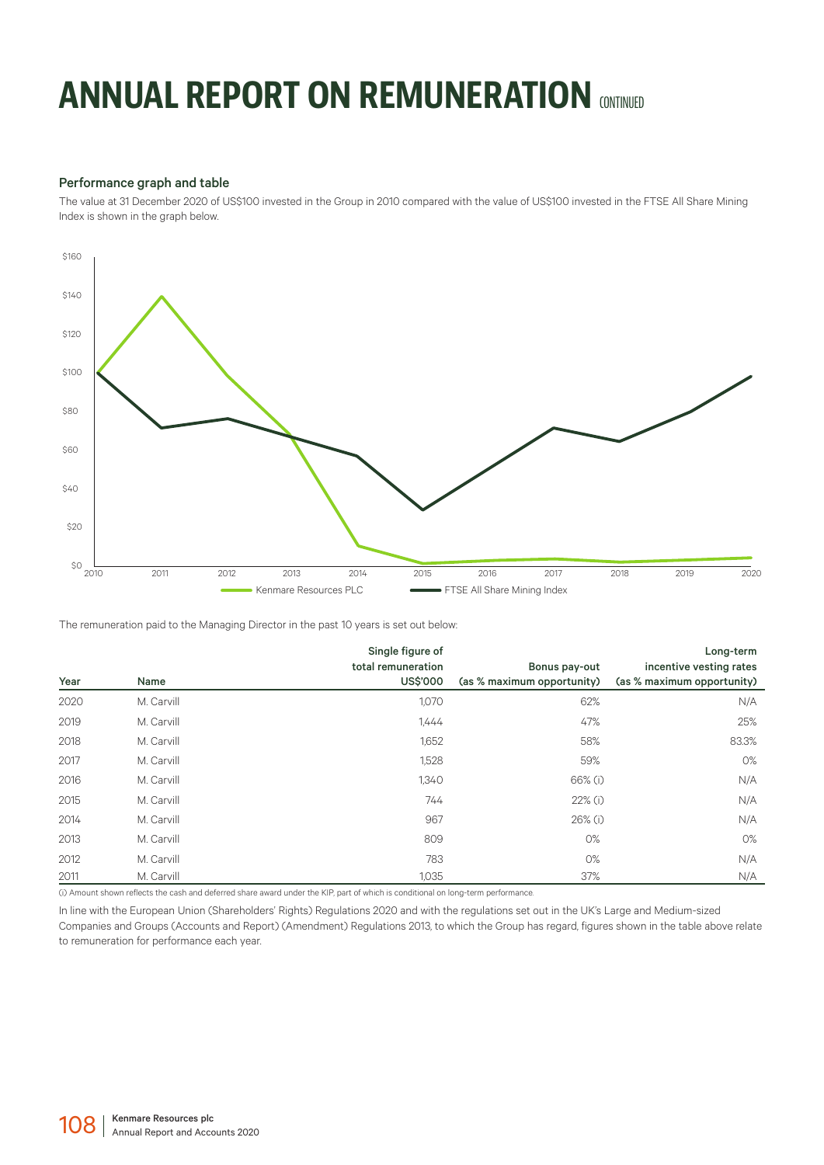#### Performance graph and table

The value at 31 December 2020 of US\$100 invested in the Group in 2010 compared with the value of US\$100 invested in the FTSE All Share Mining Index is shown in the graph below.



The remuneration paid to the Managing Director in the past 10 years is set out below:

|      |             | Single figure of                      |                                             | Long-term                                             |
|------|-------------|---------------------------------------|---------------------------------------------|-------------------------------------------------------|
| Year | <b>Name</b> | total remuneration<br><b>US\$'000</b> | Bonus pay-out<br>(as % maximum opportunity) | incentive vesting rates<br>(as % maximum opportunity) |
| 2020 | M. Carvill  | 1,070                                 | 62%                                         | N/A                                                   |
| 2019 | M. Carvill  | 1.444                                 | 47%                                         | 25%                                                   |
| 2018 | M. Carvill  | 1,652                                 | 58%                                         | 83.3%                                                 |
| 2017 | M. Carvill  | 1,528                                 | 59%                                         | 0%                                                    |
| 2016 | M. Carvill  | 1,340                                 | 66% (i)                                     | N/A                                                   |
| 2015 | M. Carvill  | 744                                   | 22% (i)                                     | N/A                                                   |
| 2014 | M. Carvill  | 967                                   | 26% (i)                                     | N/A                                                   |
| 2013 | M. Carvill  | 809                                   | 0%                                          | 0%                                                    |
| 2012 | M. Carvill  | 783                                   | 0%                                          | N/A                                                   |
| 2011 | M. Carvill  | 1.035                                 | 37%                                         | N/A                                                   |

(i) Amount shown reflects the cash and deferred share award under the KIP, part of which is conditional on long-term performance.

In line with the European Union (Shareholders' Rights) Regulations 2020 and with the regulations set out in the UK's Large and Medium-sized Companies and Groups (Accounts and Report) (Amendment) Regulations 2013, to which the Group has regard, figures shown in the table above relate to remuneration for performance each year.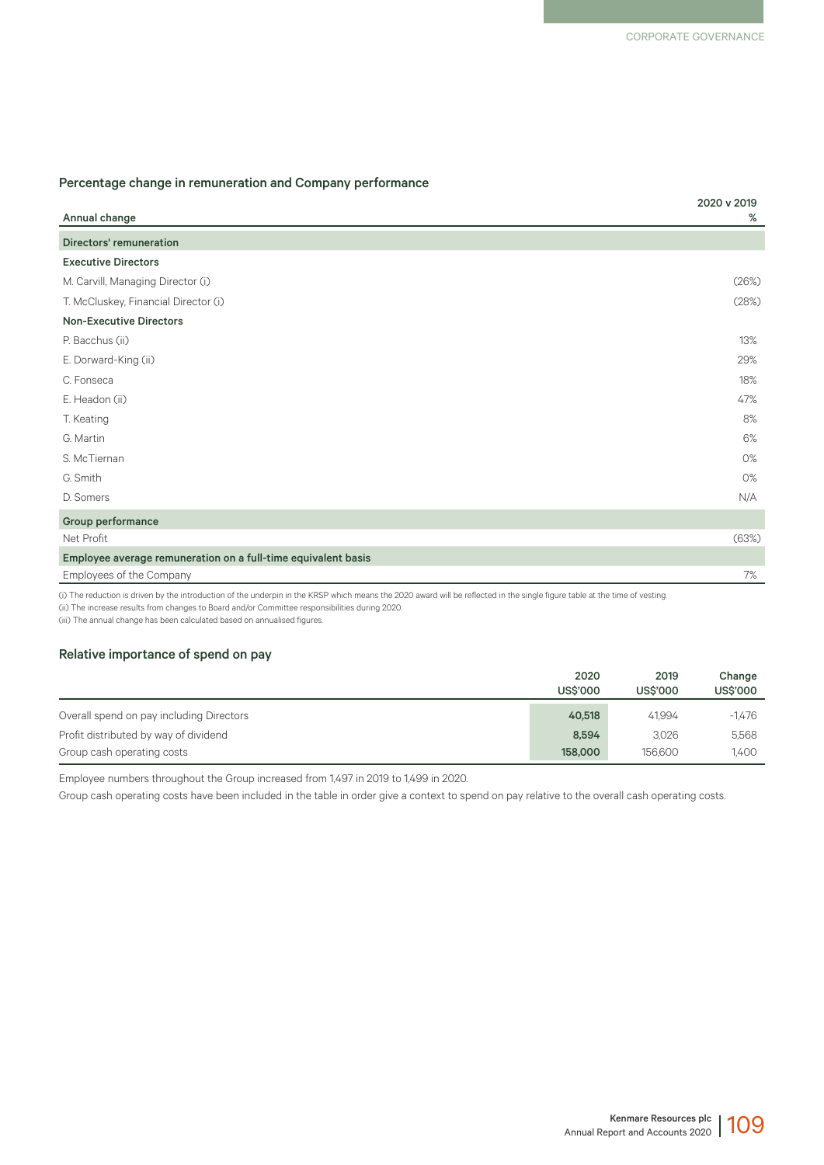#### Percentage change in remuneration and Company performance

| Annual change                                                 | 2020 v 2019<br>% |
|---------------------------------------------------------------|------------------|
| Directors' remuneration                                       |                  |
| <b>Executive Directors</b>                                    |                  |
| M. Carvill, Managing Director (i)                             | (26%)            |
| T. McCluskey, Financial Director (i)                          | (28%)            |
| <b>Non-Executive Directors</b>                                |                  |
| P. Bacchus (ii)                                               | 13%              |
| E. Dorward-King (ii)                                          | 29%              |
| C. Fonseca                                                    | 18%              |
| E. Headon (ii)                                                | 47%              |
| T. Keating                                                    | 8%               |
| G. Martin                                                     | 6%               |
| S. McTiernan                                                  | $O\%$            |
| G. Smith                                                      | $O\%$            |
| D. Somers                                                     | N/A              |
| Group performance                                             |                  |
| Net Profit                                                    | (63%)            |
| Employee average remuneration on a full-time equivalent basis |                  |
| Employees of the Company                                      | 7%               |

(i) The reduction is driven by the introduction of the underpin in the KRSP which means the 2020 award will be reflected in the single figure table at the time of vesting. (ii) The increase results from changes to Board and/or Committee responsibilities during 2020.

(iii) The annual change has been calculated based on annualised figures.

#### Relative importance of spend on pay

|                                          | 2020            | 2019            | Change          |
|------------------------------------------|-----------------|-----------------|-----------------|
|                                          | <b>US\$'000</b> | <b>US\$'000</b> | <b>US\$'000</b> |
| Overall spend on pay including Directors | 40,518          | 41.994          | $-1.476$        |
| Profit distributed by way of dividend    | 8.594           | 3,026           | 5,568           |
| Group cash operating costs               | 158,000         | 156,600         | 1,400           |

Employee numbers throughout the Group increased from 1,497 in 2019 to 1,499 in 2020.

Group cash operating costs have been included in the table in order give a context to spend on pay relative to the overall cash operating costs.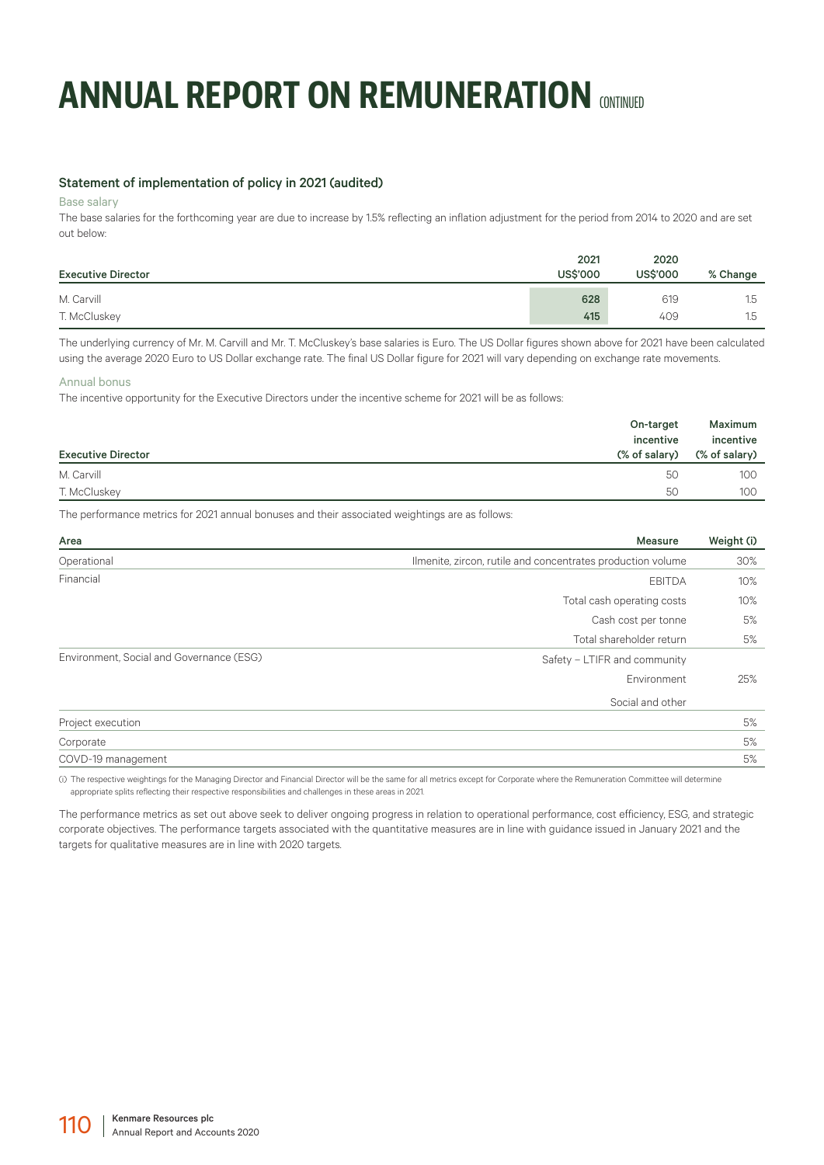#### Statement of implementation of policy in 2021 (audited)

#### Base salary

The base salaries for the forthcoming year are due to increase by 1.5% reflecting an inflation adjustment for the period from 2014 to 2020 and are set out below:

| <b>Executive Director</b> | 2021<br><b>US\$'000</b> | 2020<br>US\$'000 | % Change |
|---------------------------|-------------------------|------------------|----------|
| M. Carvill                | 628                     | 619              | 1.5      |
| T. McCluskey              | 415                     | 409              | 1.5      |

The underlying currency of Mr. M. Carvill and Mr. T. McCluskey's base salaries is Euro. The US Dollar figures shown above for 2021 have been calculated using the average 2020 Euro to US Dollar exchange rate. The final US Dollar figure for 2021 will vary depending on exchange rate movements.

Annual bonus

The incentive opportunity for the Executive Directors under the incentive scheme for 2021 will be as follows:

|                           | On-target<br>incentive | Maximum<br>incentive |
|---------------------------|------------------------|----------------------|
| <b>Executive Director</b> | (% of salary)          | (% of salary)        |
| M. Carvill                | 50                     | 100                  |
| T. McCluskey              | 50                     | 100                  |

The performance metrics for 2021 annual bonuses and their associated weightings are as follows:

| Area                                     | Measure                                                     | Weight (i) |
|------------------------------------------|-------------------------------------------------------------|------------|
| Operational                              | Ilmenite, zircon, rutile and concentrates production volume | 30%        |
| Financial                                | <b>EBITDA</b>                                               | 10%        |
|                                          | Total cash operating costs                                  | 10%        |
|                                          | Cash cost per tonne                                         | 5%         |
|                                          | Total shareholder return                                    | 5%         |
| Environment, Social and Governance (ESG) | Safety - LTIFR and community                                |            |
|                                          | Environment                                                 | 25%        |
|                                          | Social and other                                            |            |
| Project execution                        |                                                             | 5%         |
| Corporate                                |                                                             | 5%         |
| COVD-19 management                       |                                                             | 5%         |

(i) The respective weightings for the Managing Director and Financial Director will be the same for all metrics except for Corporate where the Remuneration Committee will determine appropriate splits reflecting their respective responsibilities and challenges in these areas in 2021.

The performance metrics as set out above seek to deliver ongoing progress in relation to operational performance, cost efficiency, ESG, and strategic corporate objectives. The performance targets associated with the quantitative measures are in line with guidance issued in January 2021 and the targets for qualitative measures are in line with 2020 targets.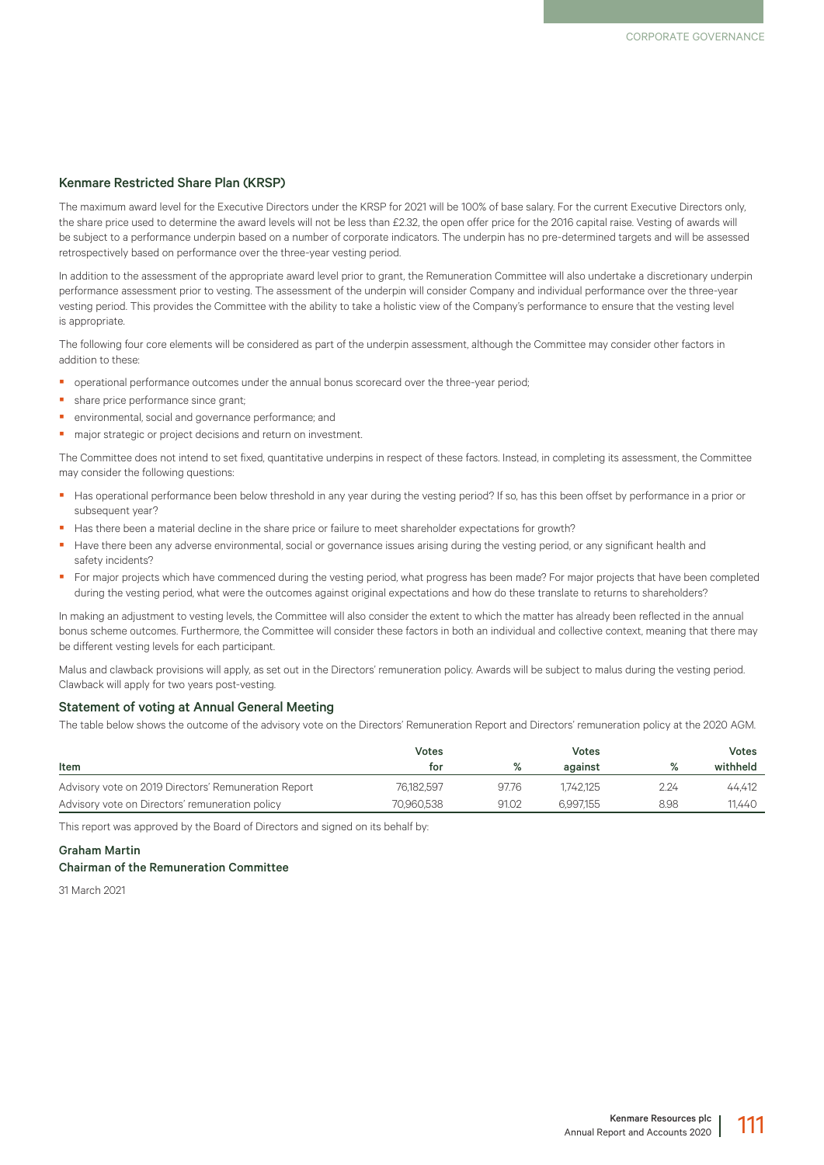#### Kenmare Restricted Share Plan (KRSP)

The maximum award level for the Executive Directors under the KRSP for 2021 will be 100% of base salary. For the current Executive Directors only, the share price used to determine the award levels will not be less than £2.32, the open offer price for the 2016 capital raise. Vesting of awards will be subject to a performance underpin based on a number of corporate indicators. The underpin has no pre-determined targets and will be assessed retrospectively based on performance over the three-year vesting period.

In addition to the assessment of the appropriate award level prior to grant, the Remuneration Committee will also undertake a discretionary underpin performance assessment prior to vesting. The assessment of the underpin will consider Company and individual performance over the three-year vesting period. This provides the Committee with the ability to take a holistic view of the Company's performance to ensure that the vesting level is appropriate.

The following four core elements will be considered as part of the underpin assessment, although the Committee may consider other factors in addition to these:

- operational performance outcomes under the annual bonus scorecard over the three-year period;
- share price performance since grant;
- environmental, social and governance performance; and
- major strategic or project decisions and return on investment.

The Committee does not intend to set fixed, quantitative underpins in respect of these factors. Instead, in completing its assessment, the Committee may consider the following questions:

- Has operational performance been below threshold in any year during the vesting period? If so, has this been offset by performance in a prior or subsequent year?
- Has there been a material decline in the share price or failure to meet shareholder expectations for growth?
- Have there been any adverse environmental, social or governance issues arising during the vesting period, or any significant health and safety incidents?
- For major projects which have commenced during the vesting period, what progress has been made? For major projects that have been completed during the vesting period, what were the outcomes against original expectations and how do these translate to returns to shareholders?

In making an adjustment to vesting levels, the Committee will also consider the extent to which the matter has already been reflected in the annual bonus scheme outcomes. Furthermore, the Committee will consider these factors in both an individual and collective context, meaning that there may be different vesting levels for each participant.

Malus and clawback provisions will apply, as set out in the Directors' remuneration policy. Awards will be subject to malus during the vesting period. Clawback will apply for two years post-vesting.

#### Statement of voting at Annual General Meeting

The table below shows the outcome of the advisory vote on the Directors' Remuneration Report and Directors' remuneration policy at the 2020 AGM.

|                                                      | <b>Votes</b> |       | Votes     |      | Votes    |
|------------------------------------------------------|--------------|-------|-----------|------|----------|
| Item                                                 | for          | ℅     | against   |      | withheld |
| Advisory vote on 2019 Directors' Remuneration Report | 76.182.597   | 97.76 | 1.742.125 | 2.24 | 44,412   |
| Advisory vote on Directors' remuneration policy      | 70.960.538   | 91.02 | 6.997.155 | 8.98 | 11.440   |

This report was approved by the Board of Directors and signed on its behalf by:

### Graham Martin

#### Chairman of the Remuneration Committee

31 March 2021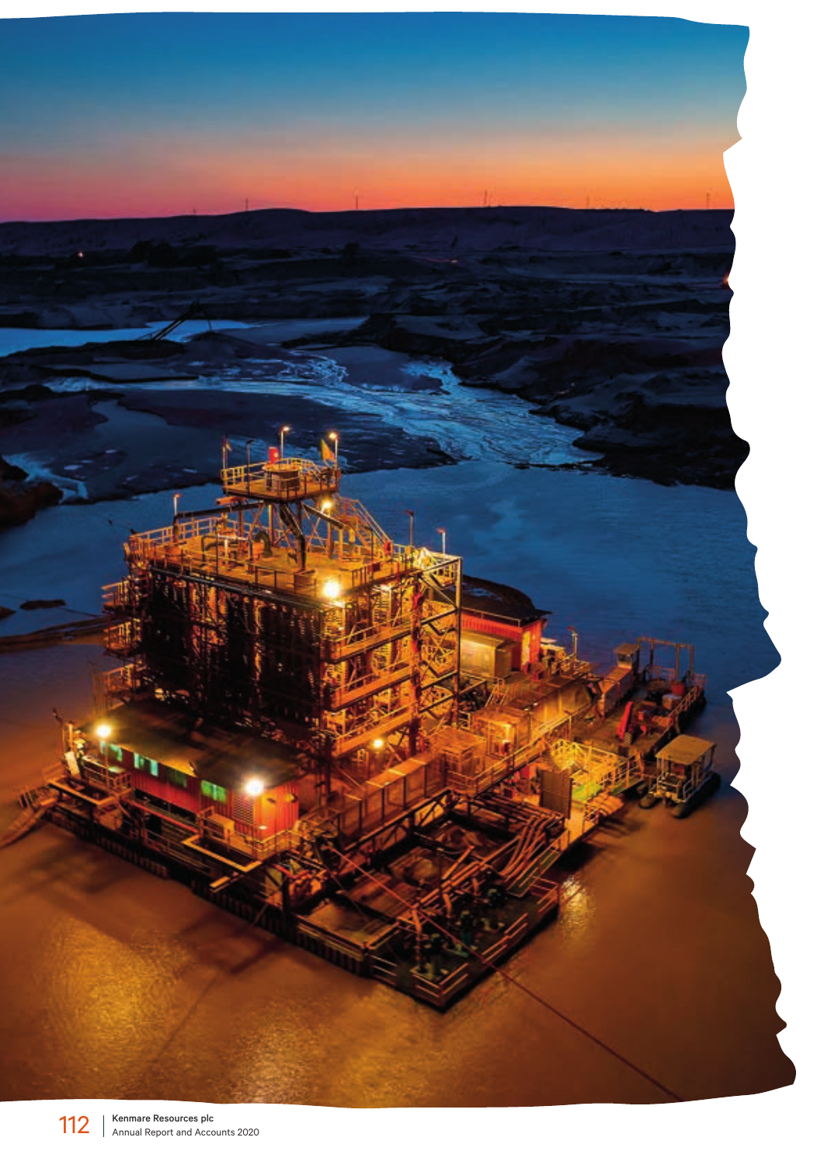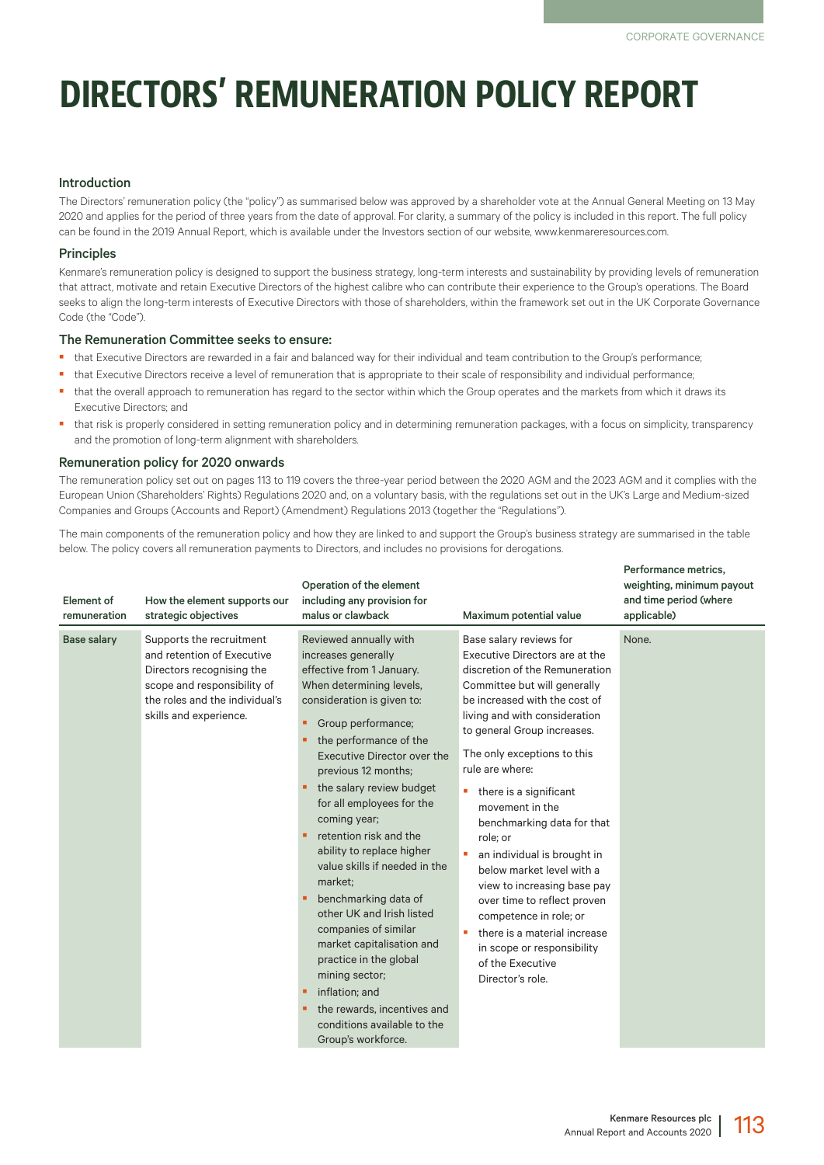### **DIRECTORS' REMUNERATION POLICY REPORT**

#### Introduction

The Directors' remuneration policy (the "policy") as summarised below was approved by a shareholder vote at the Annual General Meeting on 13 May 2020 and applies for the period of three years from the date of approval. For clarity, a summary of the policy is included in this report. The full policy can be found in the 2019 Annual Report, which is available under the Investors section of our website, www.kenmareresources.com.

#### **Principles**

Kenmare's remuneration policy is designed to support the business strategy, long-term interests and sustainability by providing levels of remuneration that attract, motivate and retain Executive Directors of the highest calibre who can contribute their experience to the Group's operations. The Board seeks to align the long-term interests of Executive Directors with those of shareholders, within the framework set out in the UK Corporate Governance Code (the "Code").

#### The Remuneration Committee seeks to ensure:

- that Executive Directors are rewarded in a fair and balanced way for their individual and team contribution to the Group's performance;
- that Executive Directors receive a level of remuneration that is appropriate to their scale of responsibility and individual performance;
- that the overall approach to remuneration has regard to the sector within which the Group operates and the markets from which it draws its Executive Directors; and
- that risk is properly considered in setting remuneration policy and in determining remuneration packages, with a focus on simplicity, transparency and the promotion of long-term alignment with shareholders.

#### Remuneration policy for 2020 onwards

The remuneration policy set out on pages 113 to 119 covers the three-year period between the 2020 AGM and the 2023 AGM and it complies with the European Union (Shareholders' Rights) Regulations 2020 and, on a voluntary basis, with the regulations set out in the UK's Large and Medium-sized Companies and Groups (Accounts and Report) (Amendment) Regulations 2013 (together the "Regulations").

The main components of the remuneration policy and how they are linked to and support the Group's business strategy are summarised in the table below. The policy covers all remuneration payments to Directors, and includes no provisions for derogations.

| Element of<br>remuneration | How the element supports our<br>strategic objectives                                                                                                                           | Operation of the element<br>including any provision for<br>malus or clawback                                                                                                                                                                                                                                                                                                                                                                                                                                                                                                                                                                                                       | Maximum potential value                                                                                                                                                                                                                                                                                                                                                                                                                                                                                                                                                                                                               | Performance metrics,<br>weighting, minimum payout<br>and time period (where<br>applicable) |
|----------------------------|--------------------------------------------------------------------------------------------------------------------------------------------------------------------------------|------------------------------------------------------------------------------------------------------------------------------------------------------------------------------------------------------------------------------------------------------------------------------------------------------------------------------------------------------------------------------------------------------------------------------------------------------------------------------------------------------------------------------------------------------------------------------------------------------------------------------------------------------------------------------------|---------------------------------------------------------------------------------------------------------------------------------------------------------------------------------------------------------------------------------------------------------------------------------------------------------------------------------------------------------------------------------------------------------------------------------------------------------------------------------------------------------------------------------------------------------------------------------------------------------------------------------------|--------------------------------------------------------------------------------------------|
| <b>Base salary</b>         | Supports the recruitment<br>and retention of Executive<br>Directors recognising the<br>scope and responsibility of<br>the roles and the individual's<br>skills and experience. | Reviewed annually with<br>increases generally<br>effective from 1 January.<br>When determining levels,<br>consideration is given to:<br>Group performance;<br>the performance of the<br>Executive Director over the<br>previous 12 months;<br>the salary review budget<br>for all employees for the<br>coming year;<br>retention risk and the<br>ability to replace higher<br>value skills if needed in the<br>market:<br>benchmarking data of<br>other UK and Irish listed<br>companies of similar<br>market capitalisation and<br>practice in the global<br>mining sector;<br>inflation; and<br>the rewards, incentives and<br>conditions available to the<br>Group's workforce. | Base salary reviews for<br>Executive Directors are at the<br>discretion of the Remuneration<br>Committee but will generally<br>be increased with the cost of<br>living and with consideration<br>to general Group increases.<br>The only exceptions to this<br>rule are where:<br>there is a significant<br>a.<br>movement in the<br>benchmarking data for that<br>role: or<br>an individual is brought in<br>below market level with a<br>view to increasing base pay<br>over time to reflect proven<br>competence in role; or<br>there is a material increase<br>in scope or responsibility<br>of the Executive<br>Director's role. | None.                                                                                      |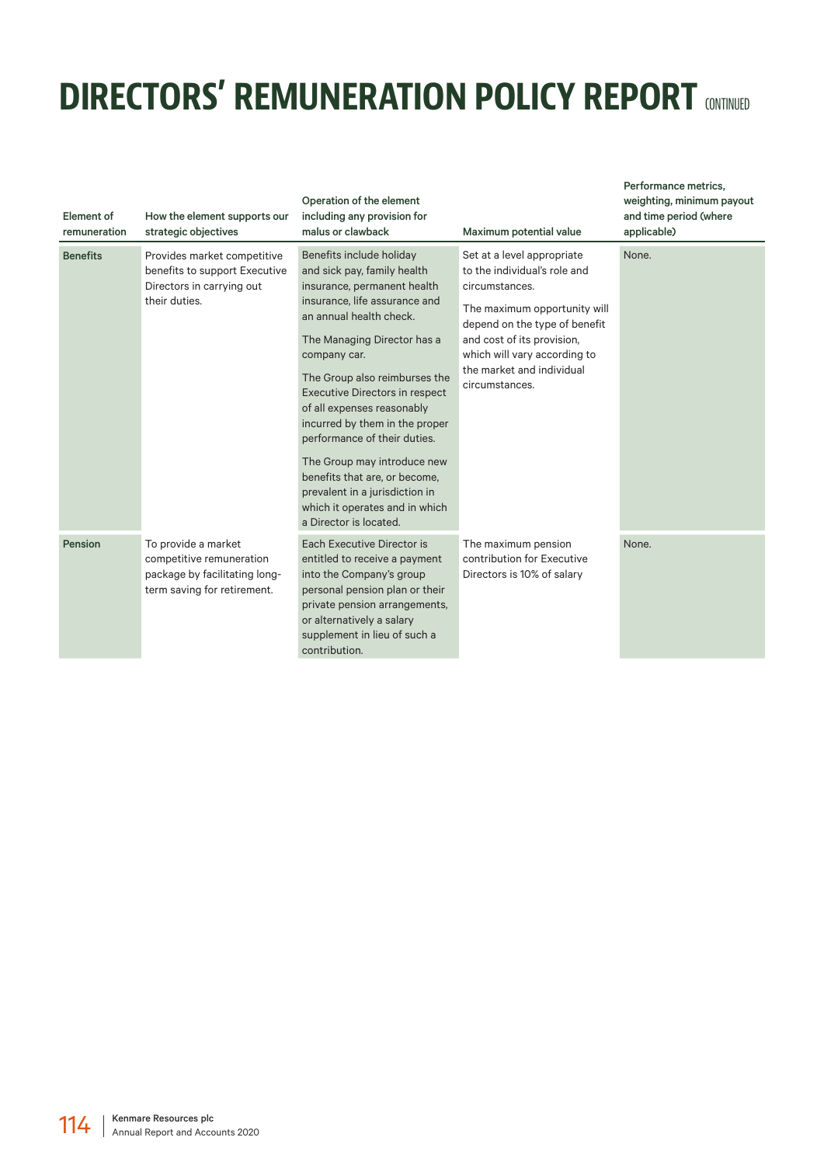### **DIRECTORS' REMUNERATION POLICY REPORT CONTINUED**

| <b>Element</b> of<br>remuneration | How the element supports our<br>strategic objectives                                                            | Operation of the element<br>including any provision for<br>malus or clawback                                                                                                                                                                                                                                                                                                                                                                                                                                                       | Maximum potential value                                                                                                                                                                                                                                    | Performance metrics,<br>weighting, minimum payout<br>and time period (where<br>applicable) |
|-----------------------------------|-----------------------------------------------------------------------------------------------------------------|------------------------------------------------------------------------------------------------------------------------------------------------------------------------------------------------------------------------------------------------------------------------------------------------------------------------------------------------------------------------------------------------------------------------------------------------------------------------------------------------------------------------------------|------------------------------------------------------------------------------------------------------------------------------------------------------------------------------------------------------------------------------------------------------------|--------------------------------------------------------------------------------------------|
| <b>Benefits</b>                   | Provides market competitive<br>benefits to support Executive<br>Directors in carrying out<br>their duties.      | Benefits include holiday<br>and sick pay, family health<br>insurance, permanent health<br>insurance, life assurance and<br>an annual health check.<br>The Managing Director has a<br>company car.<br>The Group also reimburses the<br>Executive Directors in respect<br>of all expenses reasonably<br>incurred by them in the proper<br>performance of their duties.<br>The Group may introduce new<br>benefits that are, or become,<br>prevalent in a jurisdiction in<br>which it operates and in which<br>a Director is located. | Set at a level appropriate<br>to the individual's role and<br>circumstances.<br>The maximum opportunity will<br>depend on the type of benefit<br>and cost of its provision,<br>which will vary according to<br>the market and individual<br>circumstances. | None.                                                                                      |
| Pension                           | To provide a market<br>competitive remuneration<br>package by facilitating long-<br>term saving for retirement. | Each Executive Director is<br>entitled to receive a payment<br>into the Company's group<br>personal pension plan or their<br>private pension arrangements,<br>or alternatively a salary<br>supplement in lieu of such a<br>contribution.                                                                                                                                                                                                                                                                                           | The maximum pension<br>contribution for Executive<br>Directors is 10% of salary                                                                                                                                                                            | None.                                                                                      |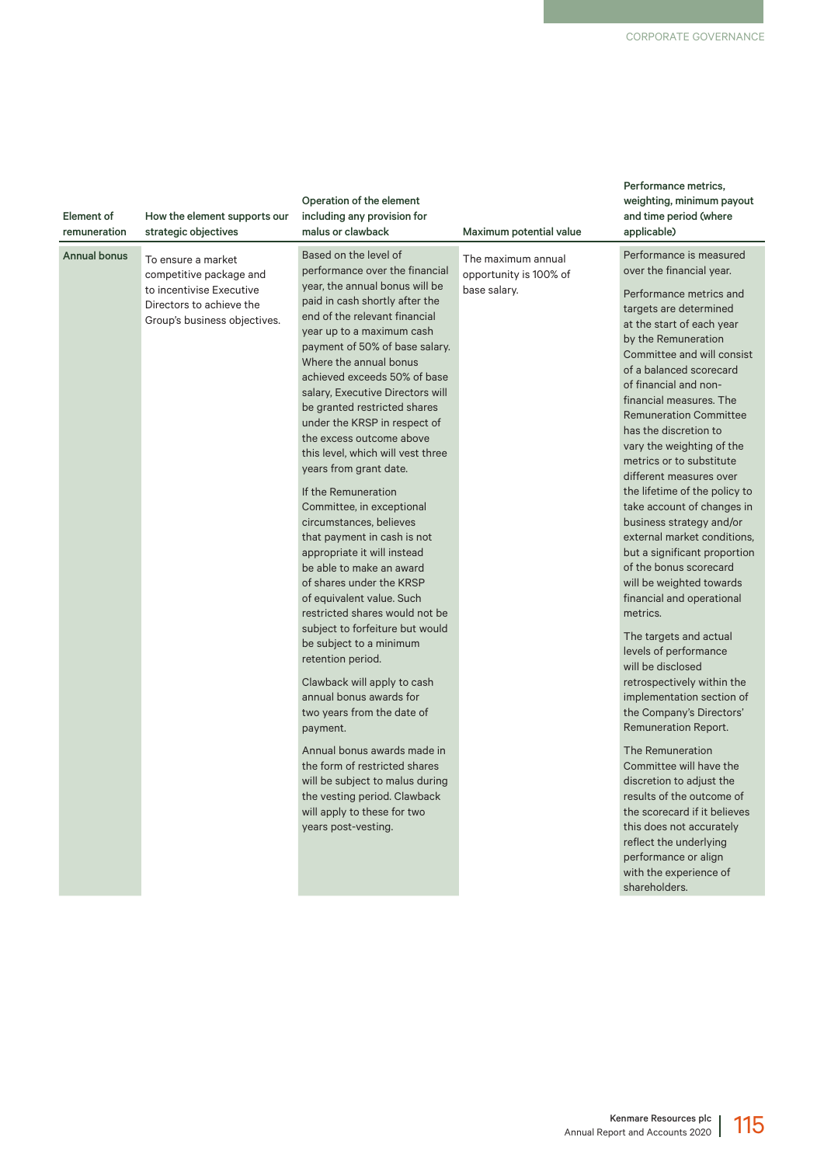| Element of<br>How the element supports our<br>remuneration<br>strategic objectives                                                                           | Operation of the element<br>including any provision for<br>malus or clawback                                                                                                                                                                                                                                                                                                                                                                                                                                                                                                                                                                                                                                                                                                                                                                                                                                                                                                                                                                                                                                                             | Maximum potential value                                      | Performance metrics,<br>weighting, minimum payout<br>and time period (where<br>applicable)                                                                                                                                                                                                                                                                                                                                                                                                                                                                                                                                                                                                                                                                                                                                                                                                                                                                                                                                                                                                                                     |
|--------------------------------------------------------------------------------------------------------------------------------------------------------------|------------------------------------------------------------------------------------------------------------------------------------------------------------------------------------------------------------------------------------------------------------------------------------------------------------------------------------------------------------------------------------------------------------------------------------------------------------------------------------------------------------------------------------------------------------------------------------------------------------------------------------------------------------------------------------------------------------------------------------------------------------------------------------------------------------------------------------------------------------------------------------------------------------------------------------------------------------------------------------------------------------------------------------------------------------------------------------------------------------------------------------------|--------------------------------------------------------------|--------------------------------------------------------------------------------------------------------------------------------------------------------------------------------------------------------------------------------------------------------------------------------------------------------------------------------------------------------------------------------------------------------------------------------------------------------------------------------------------------------------------------------------------------------------------------------------------------------------------------------------------------------------------------------------------------------------------------------------------------------------------------------------------------------------------------------------------------------------------------------------------------------------------------------------------------------------------------------------------------------------------------------------------------------------------------------------------------------------------------------|
| <b>Annual bonus</b><br>To ensure a market<br>competitive package and<br>to incentivise Executive<br>Directors to achieve the<br>Group's business objectives. | Based on the level of<br>performance over the financial<br>year, the annual bonus will be<br>paid in cash shortly after the<br>end of the relevant financial<br>year up to a maximum cash<br>payment of 50% of base salary.<br>Where the annual bonus<br>achieved exceeds 50% of base<br>salary, Executive Directors will<br>be granted restricted shares<br>under the KRSP in respect of<br>the excess outcome above<br>this level, which will vest three<br>years from grant date.<br>If the Remuneration<br>Committee, in exceptional<br>circumstances, believes<br>that payment in cash is not<br>appropriate it will instead<br>be able to make an award<br>of shares under the KRSP<br>of equivalent value. Such<br>restricted shares would not be<br>subject to forfeiture but would<br>be subject to a minimum<br>retention period.<br>Clawback will apply to cash<br>annual bonus awards for<br>two years from the date of<br>payment.<br>Annual bonus awards made in<br>the form of restricted shares<br>will be subject to malus during<br>the vesting period. Clawback<br>will apply to these for two<br>years post-vesting. | The maximum annual<br>opportunity is 100% of<br>base salary. | Performance is measured<br>over the financial year.<br>Performance metrics and<br>targets are determined<br>at the start of each year<br>by the Remuneration<br>Committee and will consist<br>of a balanced scorecard<br>of financial and non-<br>financial measures. The<br><b>Remuneration Committee</b><br>has the discretion to<br>vary the weighting of the<br>metrics or to substitute<br>different measures over<br>the lifetime of the policy to<br>take account of changes in<br>business strategy and/or<br>external market conditions,<br>but a significant proportion<br>of the bonus scorecard<br>will be weighted towards<br>financial and operational<br>metrics.<br>The targets and actual<br>levels of performance<br>will be disclosed<br>retrospectively within the<br>implementation section of<br>the Company's Directors'<br><b>Remuneration Report.</b><br>The Remuneration<br>Committee will have the<br>discretion to adjust the<br>results of the outcome of<br>the scorecard if it believes<br>this does not accurately<br>reflect the underlying<br>performance or align<br>with the experience of |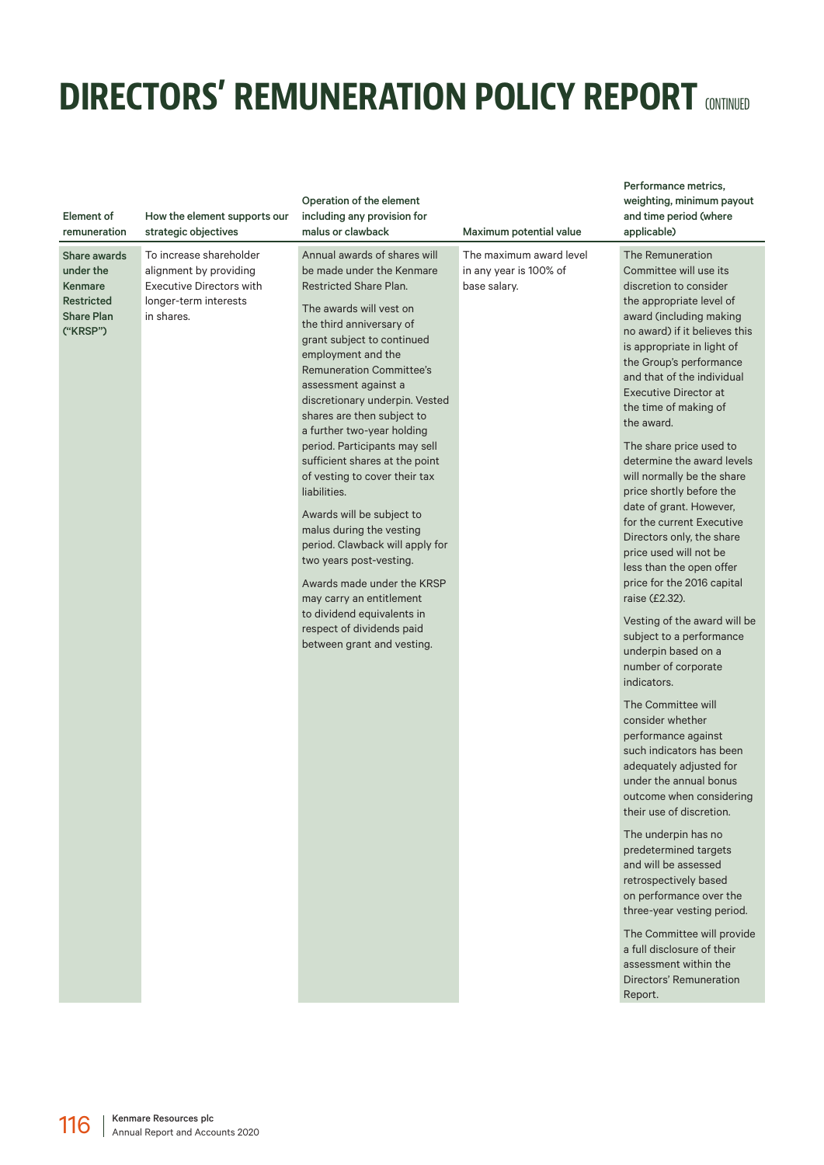# **DIRECTORS' REMUNERATION POLICY REPORT CONTINUED**

| Element of<br>remuneration                                                                               | How the element supports our<br>strategic objectives                                                                        | Operation of the element<br>including any provision for<br>malus or clawback                                                                                                                                                                                                                                                                                                                                                                                                                                                                                                                                                                                                                                                                                 | Maximum potential value                                           | Performance metrics.<br>weighting, minimum payout<br>and time period (where<br>applicable)                                                                                                                                                                                                                                                                                                                                                                                                                                                                                                                                                                                                                                                                                                                                                                                                                                                                                                                                                                                                                                                                                                                                                                       |
|----------------------------------------------------------------------------------------------------------|-----------------------------------------------------------------------------------------------------------------------------|--------------------------------------------------------------------------------------------------------------------------------------------------------------------------------------------------------------------------------------------------------------------------------------------------------------------------------------------------------------------------------------------------------------------------------------------------------------------------------------------------------------------------------------------------------------------------------------------------------------------------------------------------------------------------------------------------------------------------------------------------------------|-------------------------------------------------------------------|------------------------------------------------------------------------------------------------------------------------------------------------------------------------------------------------------------------------------------------------------------------------------------------------------------------------------------------------------------------------------------------------------------------------------------------------------------------------------------------------------------------------------------------------------------------------------------------------------------------------------------------------------------------------------------------------------------------------------------------------------------------------------------------------------------------------------------------------------------------------------------------------------------------------------------------------------------------------------------------------------------------------------------------------------------------------------------------------------------------------------------------------------------------------------------------------------------------------------------------------------------------|
| <b>Share awards</b><br>under the<br><b>Kenmare</b><br><b>Restricted</b><br><b>Share Plan</b><br>("KRSP") | To increase shareholder<br>alignment by providing<br><b>Executive Directors with</b><br>longer-term interests<br>in shares. | Annual awards of shares will<br>be made under the Kenmare<br><b>Restricted Share Plan.</b><br>The awards will vest on<br>the third anniversary of<br>grant subject to continued<br>employment and the<br><b>Remuneration Committee's</b><br>assessment against a<br>discretionary underpin. Vested<br>shares are then subject to<br>a further two-year holding<br>period. Participants may sell<br>sufficient shares at the point<br>of vesting to cover their tax<br>liabilities.<br>Awards will be subject to<br>malus during the vesting<br>period. Clawback will apply for<br>two years post-vesting.<br>Awards made under the KRSP<br>may carry an entitlement<br>to dividend equivalents in<br>respect of dividends paid<br>between grant and vesting. | The maximum award level<br>in any year is 100% of<br>base salary. | The Remuneration<br>Committee will use its<br>discretion to consider<br>the appropriate level of<br>award (including making<br>no award) if it believes this<br>is appropriate in light of<br>the Group's performance<br>and that of the individual<br><b>Executive Director at</b><br>the time of making of<br>the award.<br>The share price used to<br>determine the award levels<br>will normally be the share<br>price shortly before the<br>date of grant. However,<br>for the current Executive<br>Directors only, the share<br>price used will not be<br>less than the open offer<br>price for the 2016 capital<br>raise (£2.32).<br>Vesting of the award will be<br>subject to a performance<br>underpin based on a<br>number of corporate<br>indicators.<br>The Committee will<br>consider whether<br>performance against<br>such indicators has been<br>adequately adjusted for<br>under the annual bonus<br>outcome when considering<br>their use of discretion.<br>The underpin has no<br>predetermined targets<br>and will be assessed<br>retrospectively based<br>on performance over the<br>three-year vesting period.<br>The Committee will provide<br>a full disclosure of their<br>assessment within the<br>Directors' Remuneration<br>Report. |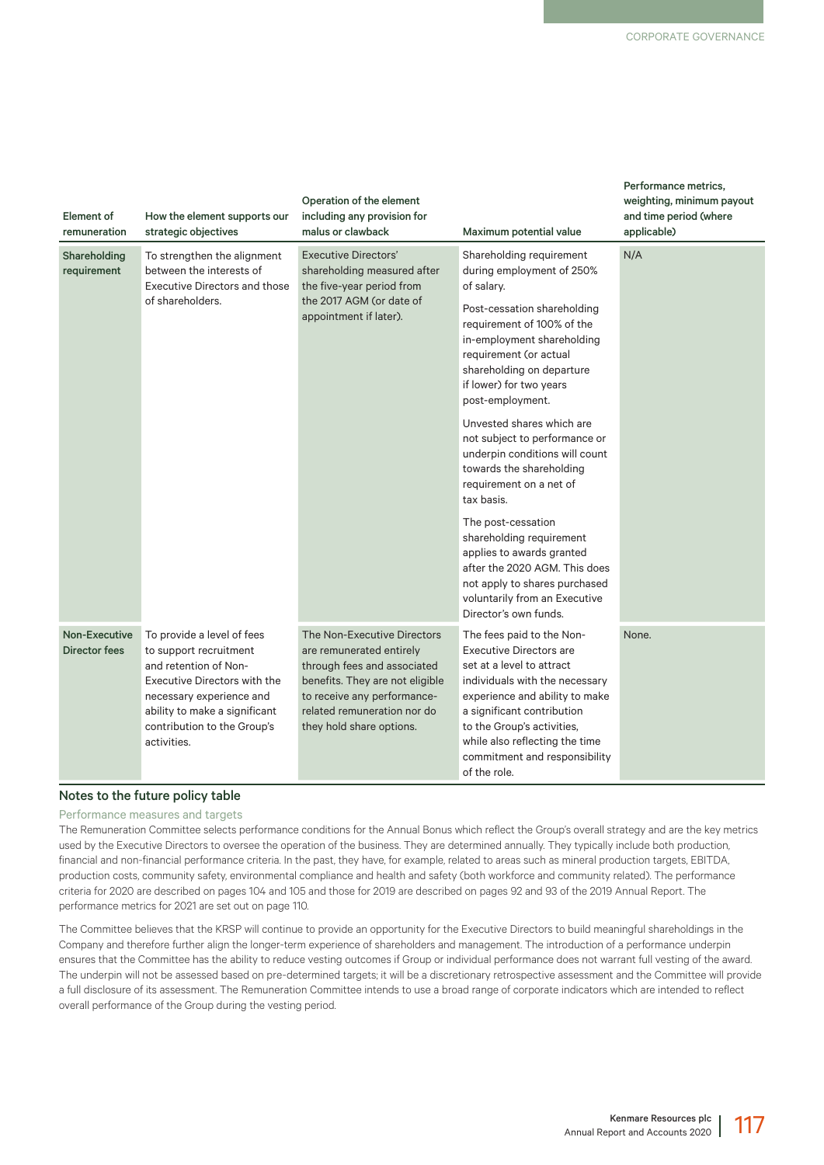Performance metrics,

| Element of<br>remuneration                   | How the element supports our<br>strategic objectives                                                                                                                                                                     | Operation of the element<br>including any provision for<br>malus or clawback                                                                                                                                        | Maximum potential value                                                                                                                                                                                                                                                                                                                                                                                                                   | weighting, minimum payout<br>and time period (where<br>applicable) |
|----------------------------------------------|--------------------------------------------------------------------------------------------------------------------------------------------------------------------------------------------------------------------------|---------------------------------------------------------------------------------------------------------------------------------------------------------------------------------------------------------------------|-------------------------------------------------------------------------------------------------------------------------------------------------------------------------------------------------------------------------------------------------------------------------------------------------------------------------------------------------------------------------------------------------------------------------------------------|--------------------------------------------------------------------|
| Shareholding<br>requirement                  | To strengthen the alignment<br>between the interests of<br>Executive Directors and those<br>of shareholders.                                                                                                             | <b>Executive Directors'</b><br>shareholding measured after<br>the five-year period from<br>the 2017 AGM (or date of<br>appointment if later).                                                                       | Shareholding requirement<br>during employment of 250%<br>of salary.<br>Post-cessation shareholding<br>requirement of 100% of the<br>in-employment shareholding<br>requirement (or actual<br>shareholding on departure<br>if lower) for two years<br>post-employment.<br>Unvested shares which are<br>not subject to performance or<br>underpin conditions will count<br>towards the shareholding<br>requirement on a net of<br>tax basis. | N/A                                                                |
|                                              |                                                                                                                                                                                                                          |                                                                                                                                                                                                                     | The post-cessation<br>shareholding requirement<br>applies to awards granted<br>after the 2020 AGM. This does<br>not apply to shares purchased<br>voluntarily from an Executive<br>Director's own funds.                                                                                                                                                                                                                                   |                                                                    |
| <b>Non-Executive</b><br><b>Director fees</b> | To provide a level of fees<br>to support recruitment<br>and retention of Non-<br>Executive Directors with the<br>necessary experience and<br>ability to make a significant<br>contribution to the Group's<br>activities. | The Non-Executive Directors<br>are remunerated entirely<br>through fees and associated<br>benefits. They are not eligible<br>to receive any performance-<br>related remuneration nor do<br>they hold share options. | The fees paid to the Non-<br><b>Executive Directors are</b><br>set at a level to attract<br>individuals with the necessary<br>experience and ability to make<br>a significant contribution<br>to the Group's activities,<br>while also reflecting the time<br>commitment and responsibility<br>of the role.                                                                                                                               | None.                                                              |

#### Notes to the future policy table

#### Performance measures and targets

The Remuneration Committee selects performance conditions for the Annual Bonus which reflect the Group's overall strategy and are the key metrics used by the Executive Directors to oversee the operation of the business. They are determined annually. They typically include both production, financial and non-financial performance criteria. In the past, they have, for example, related to areas such as mineral production targets, EBITDA, production costs, community safety, environmental compliance and health and safety (both workforce and community related). The performance criteria for 2020 are described on pages 104 and 105 and those for 2019 are described on pages 92 and 93 of the 2019 Annual Report. The performance metrics for 2021 are set out on page 110.

The Committee believes that the KRSP will continue to provide an opportunity for the Executive Directors to build meaningful shareholdings in the Company and therefore further align the longer-term experience of shareholders and management. The introduction of a performance underpin ensures that the Committee has the ability to reduce vesting outcomes if Group or individual performance does not warrant full vesting of the award. The underpin will not be assessed based on pre-determined targets; it will be a discretionary retrospective assessment and the Committee will provide a full disclosure of its assessment. The Remuneration Committee intends to use a broad range of corporate indicators which are intended to reflect overall performance of the Group during the vesting period.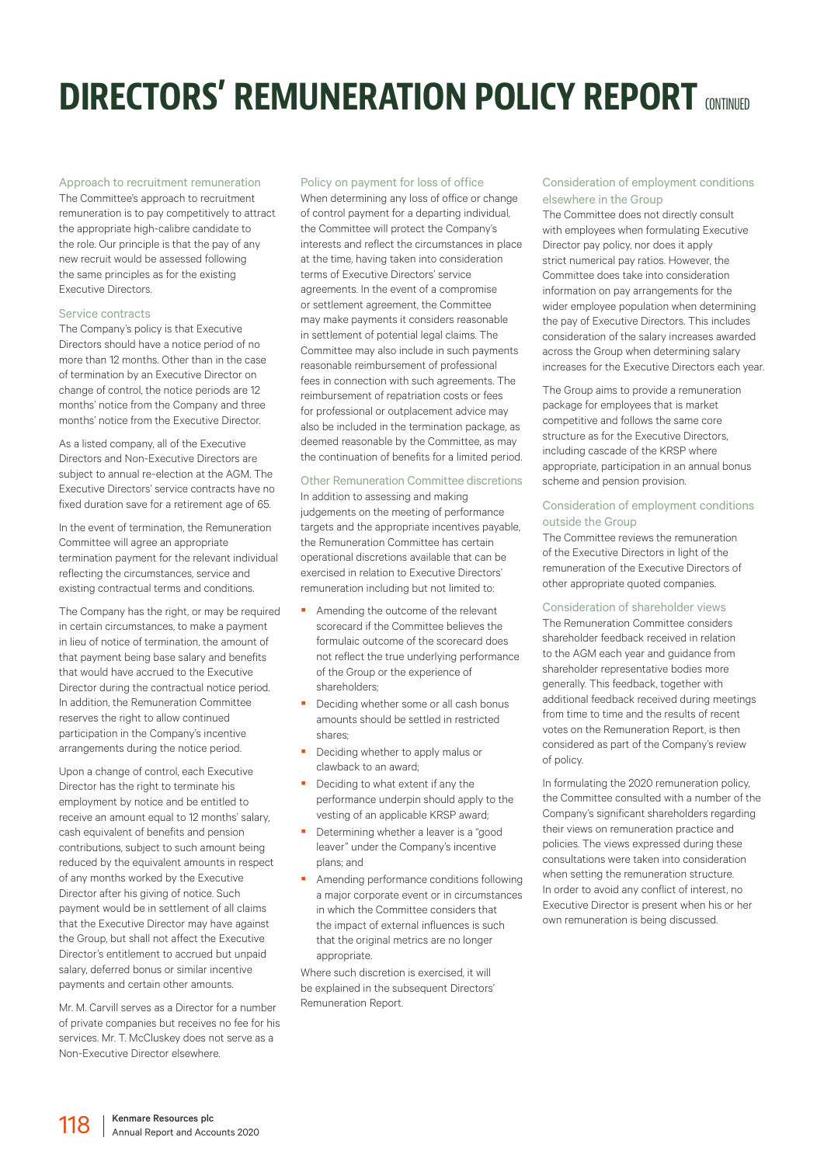# **DIRECTORS' REMUNERATION POLICY REPORT** CONTINUED

Approach to recruitment remuneration The Committee's approach to recruitment remuneration is to pay competitively to attract the appropriate high-calibre candidate to the role. Our principle is that the pay of any new recruit would be assessed following the same principles as for the existing Executive Directors.

#### Service contracts

The Company's policy is that Executive Directors should have a notice period of no more than 12 months. Other than in the case of termination by an Executive Director on change of control, the notice periods are 12 months' notice from the Company and three months' notice from the Executive Director.

As a listed company, all of the Executive Directors and Non-Executive Directors are subject to annual re-election at the AGM. The Executive Directors' service contracts have no fixed duration save for a retirement age of 65.

In the event of termination, the Remuneration Committee will agree an appropriate termination payment for the relevant individual reflecting the circumstances, service and existing contractual terms and conditions.

The Company has the right, or may be required in certain circumstances, to make a payment in lieu of notice of termination, the amount of that payment being base salary and benefits that would have accrued to the Executive Director during the contractual notice period. In addition, the Remuneration Committee reserves the right to allow continued participation in the Company's incentive arrangements during the notice period.

Upon a change of control, each Executive Director has the right to terminate his employment by notice and be entitled to receive an amount equal to 12 months' salary, cash equivalent of benefits and pension contributions, subject to such amount being reduced by the equivalent amounts in respect of any months worked by the Executive Director after his giving of notice. Such payment would be in settlement of all claims that the Executive Director may have against the Group, but shall not affect the Executive Director's entitlement to accrued but unpaid salary, deferred bonus or similar incentive payments and certain other amounts.

Mr. M. Carvill serves as a Director for a number of private companies but receives no fee for his services. Mr. T. McCluskey does not serve as a Non-Executive Director elsewhere.

Policy on payment for loss of office

When determining any loss of office or change of control payment for a departing individual, the Committee will protect the Company's interests and reflect the circumstances in place at the time, having taken into consideration terms of Executive Directors' service agreements. In the event of a compromise or settlement agreement, the Committee may make payments it considers reasonable in settlement of potential legal claims. The Committee may also include in such payments reasonable reimbursement of professional fees in connection with such agreements. The reimbursement of repatriation costs or fees for professional or outplacement advice may also be included in the termination package, as deemed reasonable by the Committee, as may the continuation of benefits for a limited period.

#### Other Remuneration Committee discretions

In addition to assessing and making judgements on the meeting of performance targets and the appropriate incentives payable, the Remuneration Committee has certain operational discretions available that can be exercised in relation to Executive Directors' remuneration including but not limited to:

- Amending the outcome of the relevant scorecard if the Committee believes the formulaic outcome of the scorecard does not reflect the true underlying performance of the Group or the experience of shareholders;
- Deciding whether some or all cash bonus amounts should be settled in restricted shares;
- **•** Deciding whether to apply malus or clawback to an award;
- Deciding to what extent if any the performance underpin should apply to the vesting of an applicable KRSP award;
- Determining whether a leaver is a "good leaver" under the Company's incentive plans; and
- Amending performance conditions following a major corporate event or in circumstances in which the Committee considers that the impact of external influences is such that the original metrics are no longer appropriate.

Where such discretion is exercised, it will be explained in the subsequent Directors' Remuneration Report.

#### Consideration of employment conditions elsewhere in the Group

The Committee does not directly consult with employees when formulating Executive Director pay policy, nor does it apply strict numerical pay ratios. However, the Committee does take into consideration information on pay arrangements for the wider employee population when determining the pay of Executive Directors. This includes consideration of the salary increases awarded across the Group when determining salary increases for the Executive Directors each year.

The Group aims to provide a remuneration package for employees that is market competitive and follows the same core structure as for the Executive Directors. including cascade of the KRSP where appropriate, participation in an annual bonus scheme and pension provision.

#### Consideration of employment conditions outside the Group

The Committee reviews the remuneration of the Executive Directors in light of the remuneration of the Executive Directors of other appropriate quoted companies.

#### Consideration of shareholder views

The Remuneration Committee considers shareholder feedback received in relation to the AGM each year and guidance from shareholder representative bodies more generally. This feedback, together with additional feedback received during meetings from time to time and the results of recent votes on the Remuneration Report, is then considered as part of the Company's review of policy.

In formulating the 2020 remuneration policy, the Committee consulted with a number of the Company's significant shareholders regarding their views on remuneration practice and policies. The views expressed during these consultations were taken into consideration when setting the remuneration structure. In order to avoid any conflict of interest, no Executive Director is present when his or her own remuneration is being discussed.